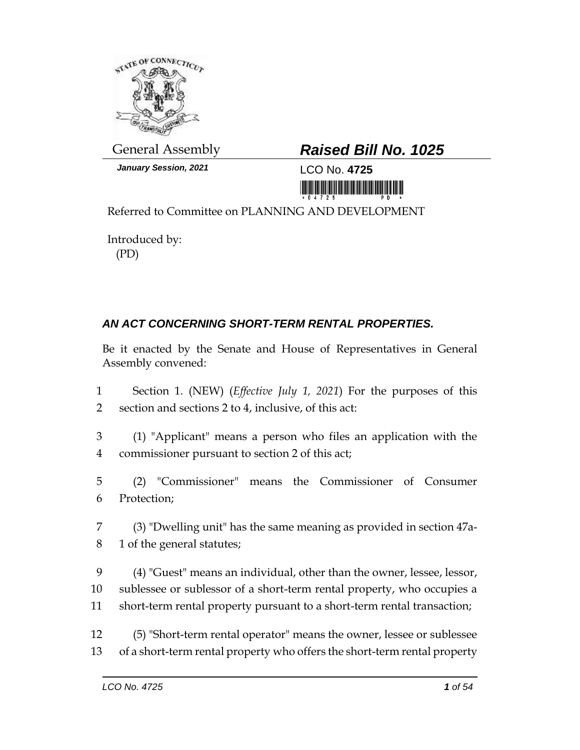

*January Session, 2021* LCO No. **4725**

## General Assembly *Raised Bill No. 1025*

<u> 1999 - An Dùbhlachd Marwrig Marwr a chwaraeth a bhliad Ann an Dùbhlachd Marwr a bhliad Ann an Dùbhlachd Marwr</u>

Referred to Committee on PLANNING AND DEVELOPMENT

Introduced by: (PD)

## *AN ACT CONCERNING SHORT-TERM RENTAL PROPERTIES.*

Be it enacted by the Senate and House of Representatives in General Assembly convened:

- 1 Section 1. (NEW) (*Effective July 1, 2021*) For the purposes of this 2 section and sections 2 to 4, inclusive, of this act:
- 3 (1) "Applicant" means a person who files an application with the 4 commissioner pursuant to section 2 of this act;
- 5 (2) "Commissioner" means the Commissioner of Consumer 6 Protection;
- 7 (3) "Dwelling unit" has the same meaning as provided in section 47a-8 1 of the general statutes;
- 9 (4) "Guest" means an individual, other than the owner, lessee, lessor, 10 sublessee or sublessor of a short-term rental property, who occupies a 11 short-term rental property pursuant to a short-term rental transaction;
- 12 (5) "Short-term rental operator" means the owner, lessee or sublessee 13 of a short-term rental property who offers the short-term rental property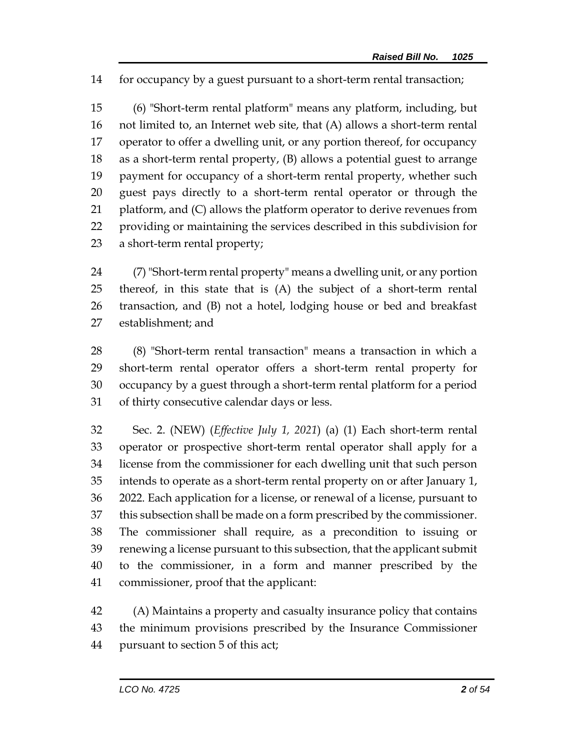for occupancy by a guest pursuant to a short-term rental transaction;

 (6) "Short-term rental platform" means any platform, including, but not limited to, an Internet web site, that (A) allows a short-term rental operator to offer a dwelling unit, or any portion thereof, for occupancy as a short-term rental property, (B) allows a potential guest to arrange payment for occupancy of a short-term rental property, whether such guest pays directly to a short-term rental operator or through the platform, and (C) allows the platform operator to derive revenues from providing or maintaining the services described in this subdivision for a short-term rental property;

 (7) "Short-term rental property" means a dwelling unit, or any portion thereof, in this state that is (A) the subject of a short-term rental transaction, and (B) not a hotel, lodging house or bed and breakfast establishment; and

 (8) "Short-term rental transaction" means a transaction in which a short-term rental operator offers a short-term rental property for occupancy by a guest through a short-term rental platform for a period of thirty consecutive calendar days or less.

 Sec. 2. (NEW) (*Effective July 1, 2021*) (a) (1) Each short-term rental operator or prospective short-term rental operator shall apply for a license from the commissioner for each dwelling unit that such person intends to operate as a short-term rental property on or after January 1, 2022. Each application for a license, or renewal of a license, pursuant to this subsection shall be made on a form prescribed by the commissioner. The commissioner shall require, as a precondition to issuing or renewing a license pursuant to this subsection, that the applicant submit to the commissioner, in a form and manner prescribed by the commissioner, proof that the applicant:

 (A) Maintains a property and casualty insurance policy that contains the minimum provisions prescribed by the Insurance Commissioner pursuant to section 5 of this act;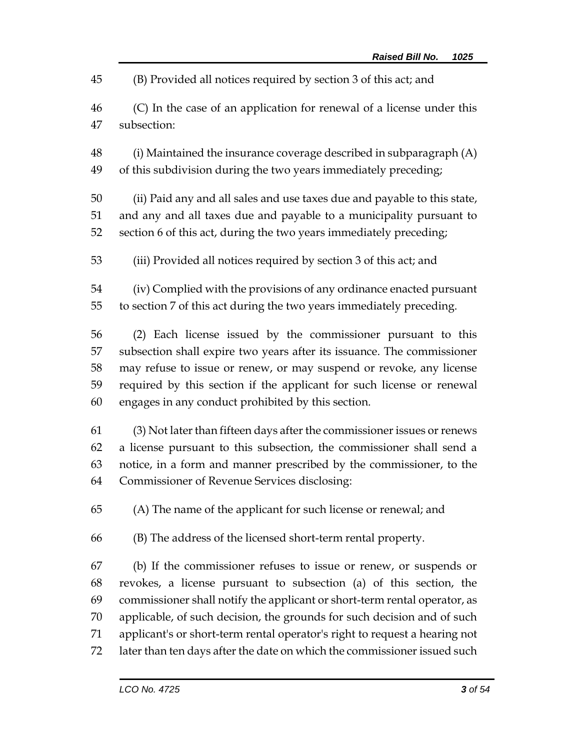(B) Provided all notices required by section 3 of this act; and

- (C) In the case of an application for renewal of a license under this subsection:
- (i) Maintained the insurance coverage described in subparagraph (A) of this subdivision during the two years immediately preceding;
- (ii) Paid any and all sales and use taxes due and payable to this state, and any and all taxes due and payable to a municipality pursuant to section 6 of this act, during the two years immediately preceding;
- (iii) Provided all notices required by section 3 of this act; and
- (iv) Complied with the provisions of any ordinance enacted pursuant to section 7 of this act during the two years immediately preceding.
- (2) Each license issued by the commissioner pursuant to this subsection shall expire two years after its issuance. The commissioner may refuse to issue or renew, or may suspend or revoke, any license required by this section if the applicant for such license or renewal engages in any conduct prohibited by this section.
- (3) Not later than fifteen days after the commissioner issues or renews a license pursuant to this subsection, the commissioner shall send a notice, in a form and manner prescribed by the commissioner, to the Commissioner of Revenue Services disclosing:
- (A) The name of the applicant for such license or renewal; and
- (B) The address of the licensed short-term rental property.
- (b) If the commissioner refuses to issue or renew, or suspends or revokes, a license pursuant to subsection (a) of this section, the commissioner shall notify the applicant or short-term rental operator, as applicable, of such decision, the grounds for such decision and of such applicant's or short-term rental operator's right to request a hearing not later than ten days after the date on which the commissioner issued such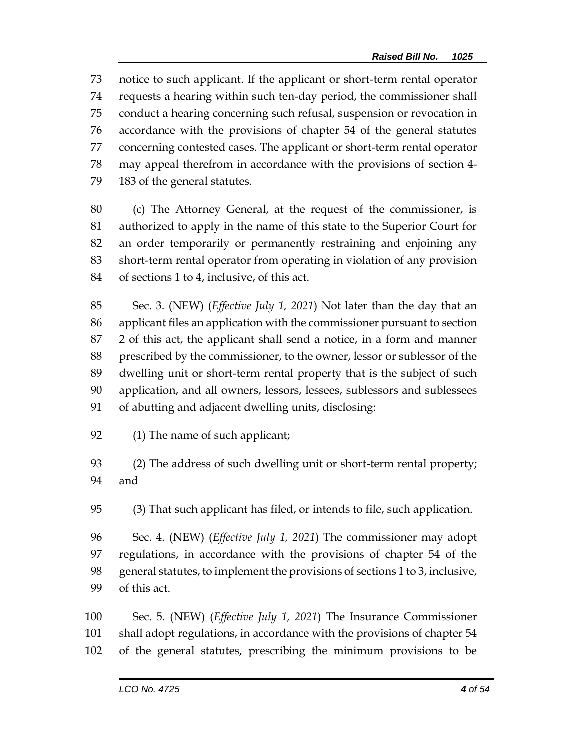notice to such applicant. If the applicant or short-term rental operator requests a hearing within such ten-day period, the commissioner shall conduct a hearing concerning such refusal, suspension or revocation in accordance with the provisions of chapter 54 of the general statutes concerning contested cases. The applicant or short-term rental operator may appeal therefrom in accordance with the provisions of section 4- 183 of the general statutes.

 (c) The Attorney General, at the request of the commissioner, is authorized to apply in the name of this state to the Superior Court for an order temporarily or permanently restraining and enjoining any short-term rental operator from operating in violation of any provision of sections 1 to 4, inclusive, of this act.

 Sec. 3. (NEW) (*Effective July 1, 2021*) Not later than the day that an applicant files an application with the commissioner pursuant to section 2 of this act, the applicant shall send a notice, in a form and manner prescribed by the commissioner, to the owner, lessor or sublessor of the dwelling unit or short-term rental property that is the subject of such application, and all owners, lessors, lessees, sublessors and sublessees of abutting and adjacent dwelling units, disclosing:

(1) The name of such applicant;

 (2) The address of such dwelling unit or short-term rental property; and

(3) That such applicant has filed, or intends to file, such application.

 Sec. 4. (NEW) (*Effective July 1, 2021*) The commissioner may adopt regulations, in accordance with the provisions of chapter 54 of the general statutes, to implement the provisions of sections 1 to 3, inclusive, of this act.

 Sec. 5. (NEW) (*Effective July 1, 2021*) The Insurance Commissioner shall adopt regulations, in accordance with the provisions of chapter 54 of the general statutes, prescribing the minimum provisions to be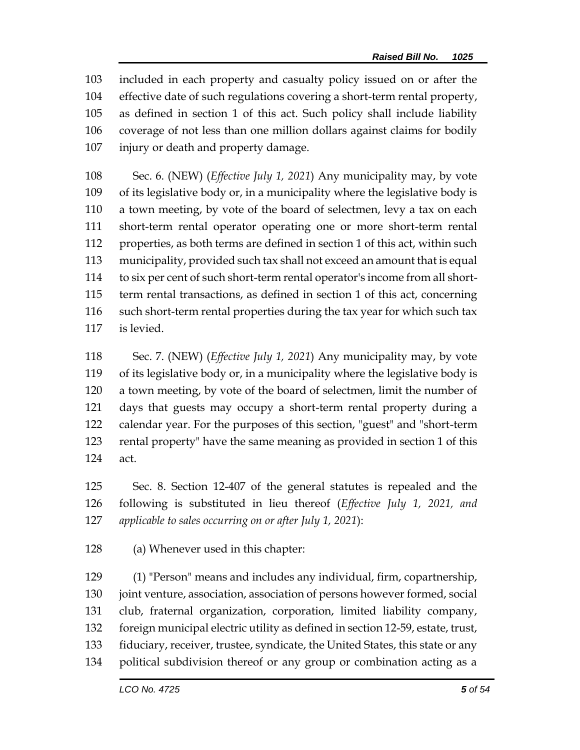included in each property and casualty policy issued on or after the effective date of such regulations covering a short-term rental property, as defined in section 1 of this act. Such policy shall include liability coverage of not less than one million dollars against claims for bodily injury or death and property damage.

 Sec. 6. (NEW) (*Effective July 1, 2021*) Any municipality may, by vote of its legislative body or, in a municipality where the legislative body is a town meeting, by vote of the board of selectmen, levy a tax on each short-term rental operator operating one or more short-term rental properties, as both terms are defined in section 1 of this act, within such municipality, provided such tax shall not exceed an amount that is equal to six per cent of such short-term rental operator's income from all short- term rental transactions, as defined in section 1 of this act, concerning such short-term rental properties during the tax year for which such tax is levied.

 Sec. 7. (NEW) (*Effective July 1, 2021*) Any municipality may, by vote of its legislative body or, in a municipality where the legislative body is a town meeting, by vote of the board of selectmen, limit the number of days that guests may occupy a short-term rental property during a calendar year. For the purposes of this section, "guest" and "short-term rental property" have the same meaning as provided in section 1 of this act.

 Sec. 8. Section 12-407 of the general statutes is repealed and the following is substituted in lieu thereof (*Effective July 1, 2021, and applicable to sales occurring on or after July 1, 2021*):

(a) Whenever used in this chapter:

 (1) "Person" means and includes any individual, firm, copartnership, 130 joint venture, association, association of persons however formed, social club, fraternal organization, corporation, limited liability company, foreign municipal electric utility as defined in section 12-59, estate, trust, fiduciary, receiver, trustee, syndicate, the United States, this state or any political subdivision thereof or any group or combination acting as a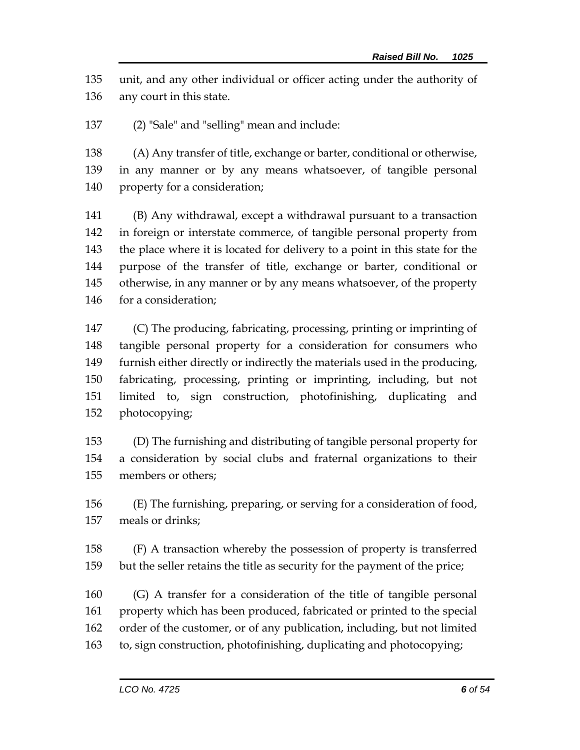unit, and any other individual or officer acting under the authority of any court in this state.

(2) "Sale" and "selling" mean and include:

 (A) Any transfer of title, exchange or barter, conditional or otherwise, in any manner or by any means whatsoever, of tangible personal property for a consideration;

 (B) Any withdrawal, except a withdrawal pursuant to a transaction in foreign or interstate commerce, of tangible personal property from the place where it is located for delivery to a point in this state for the purpose of the transfer of title, exchange or barter, conditional or otherwise, in any manner or by any means whatsoever, of the property for a consideration;

 (C) The producing, fabricating, processing, printing or imprinting of tangible personal property for a consideration for consumers who furnish either directly or indirectly the materials used in the producing, fabricating, processing, printing or imprinting, including, but not limited to, sign construction, photofinishing, duplicating and photocopying;

 (D) The furnishing and distributing of tangible personal property for a consideration by social clubs and fraternal organizations to their members or others;

 (E) The furnishing, preparing, or serving for a consideration of food, meals or drinks;

 (F) A transaction whereby the possession of property is transferred but the seller retains the title as security for the payment of the price;

 (G) A transfer for a consideration of the title of tangible personal property which has been produced, fabricated or printed to the special order of the customer, or of any publication, including, but not limited to, sign construction, photofinishing, duplicating and photocopying;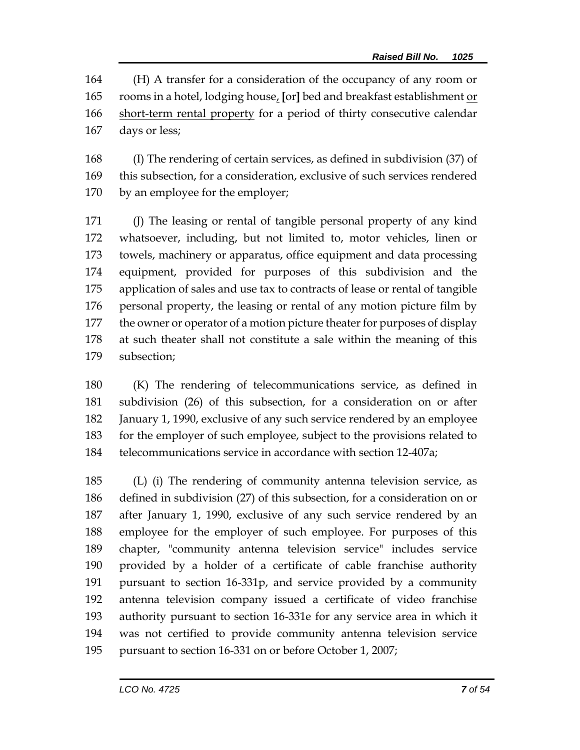(H) A transfer for a consideration of the occupancy of any room or rooms in a hotel, lodging house, **[**or**]** bed and breakfast establishment or 166 short-term rental property for a period of thirty consecutive calendar days or less;

 (I) The rendering of certain services, as defined in subdivision (37) of this subsection, for a consideration, exclusive of such services rendered by an employee for the employer;

 (J) The leasing or rental of tangible personal property of any kind whatsoever, including, but not limited to, motor vehicles, linen or towels, machinery or apparatus, office equipment and data processing equipment, provided for purposes of this subdivision and the application of sales and use tax to contracts of lease or rental of tangible personal property, the leasing or rental of any motion picture film by 177 the owner or operator of a motion picture theater for purposes of display at such theater shall not constitute a sale within the meaning of this subsection;

 (K) The rendering of telecommunications service, as defined in subdivision (26) of this subsection, for a consideration on or after January 1, 1990, exclusive of any such service rendered by an employee for the employer of such employee, subject to the provisions related to telecommunications service in accordance with section 12-407a;

 (L) (i) The rendering of community antenna television service, as defined in subdivision (27) of this subsection, for a consideration on or after January 1, 1990, exclusive of any such service rendered by an employee for the employer of such employee. For purposes of this chapter, "community antenna television service" includes service provided by a holder of a certificate of cable franchise authority pursuant to section 16-331p, and service provided by a community antenna television company issued a certificate of video franchise authority pursuant to section 16-331e for any service area in which it was not certified to provide community antenna television service pursuant to section 16-331 on or before October 1, 2007;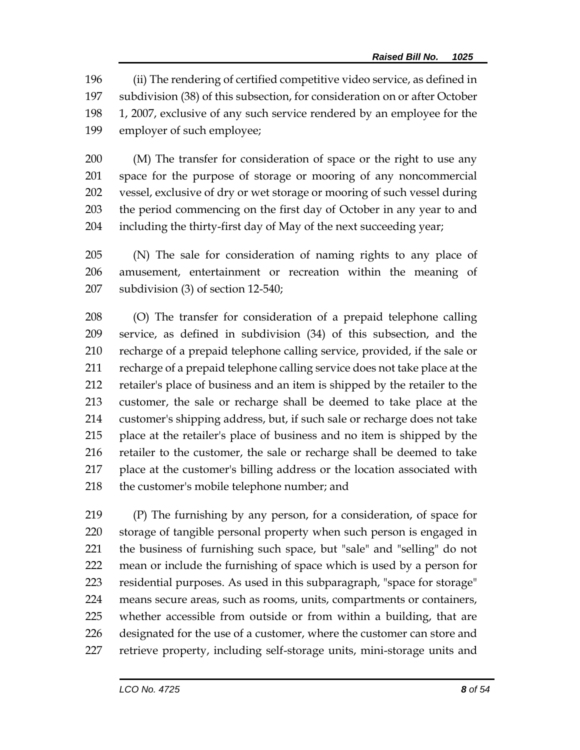(ii) The rendering of certified competitive video service, as defined in subdivision (38) of this subsection, for consideration on or after October 1, 2007, exclusive of any such service rendered by an employee for the employer of such employee;

 (M) The transfer for consideration of space or the right to use any space for the purpose of storage or mooring of any noncommercial vessel, exclusive of dry or wet storage or mooring of such vessel during the period commencing on the first day of October in any year to and including the thirty-first day of May of the next succeeding year;

 (N) The sale for consideration of naming rights to any place of amusement, entertainment or recreation within the meaning of subdivision (3) of section 12-540;

 (O) The transfer for consideration of a prepaid telephone calling service, as defined in subdivision (34) of this subsection, and the recharge of a prepaid telephone calling service, provided, if the sale or recharge of a prepaid telephone calling service does not take place at the retailer's place of business and an item is shipped by the retailer to the customer, the sale or recharge shall be deemed to take place at the customer's shipping address, but, if such sale or recharge does not take place at the retailer's place of business and no item is shipped by the retailer to the customer, the sale or recharge shall be deemed to take place at the customer's billing address or the location associated with the customer's mobile telephone number; and

 (P) The furnishing by any person, for a consideration, of space for storage of tangible personal property when such person is engaged in the business of furnishing such space, but "sale" and "selling" do not mean or include the furnishing of space which is used by a person for residential purposes. As used in this subparagraph, "space for storage" means secure areas, such as rooms, units, compartments or containers, whether accessible from outside or from within a building, that are designated for the use of a customer, where the customer can store and retrieve property, including self-storage units, mini-storage units and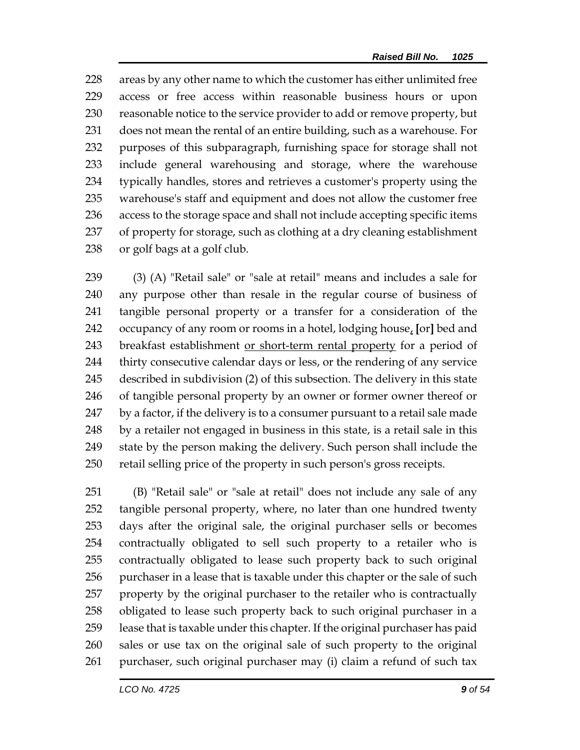228 areas by any other name to which the customer has either unlimited free access or free access within reasonable business hours or upon reasonable notice to the service provider to add or remove property, but does not mean the rental of an entire building, such as a warehouse. For purposes of this subparagraph, furnishing space for storage shall not include general warehousing and storage, where the warehouse typically handles, stores and retrieves a customer's property using the warehouse's staff and equipment and does not allow the customer free access to the storage space and shall not include accepting specific items of property for storage, such as clothing at a dry cleaning establishment or golf bags at a golf club.

 (3) (A) "Retail sale" or "sale at retail" means and includes a sale for any purpose other than resale in the regular course of business of tangible personal property or a transfer for a consideration of the occupancy of any room or rooms in a hotel, lodging house, **[**or**]** bed and breakfast establishment or short-term rental property for a period of thirty consecutive calendar days or less, or the rendering of any service described in subdivision (2) of this subsection. The delivery in this state of tangible personal property by an owner or former owner thereof or by a factor, if the delivery is to a consumer pursuant to a retail sale made by a retailer not engaged in business in this state, is a retail sale in this state by the person making the delivery. Such person shall include the retail selling price of the property in such person's gross receipts.

 (B) "Retail sale" or "sale at retail" does not include any sale of any tangible personal property, where, no later than one hundred twenty days after the original sale, the original purchaser sells or becomes contractually obligated to sell such property to a retailer who is contractually obligated to lease such property back to such original 256 purchaser in a lease that is taxable under this chapter or the sale of such property by the original purchaser to the retailer who is contractually obligated to lease such property back to such original purchaser in a lease that is taxable under this chapter. If the original purchaser has paid sales or use tax on the original sale of such property to the original purchaser, such original purchaser may (i) claim a refund of such tax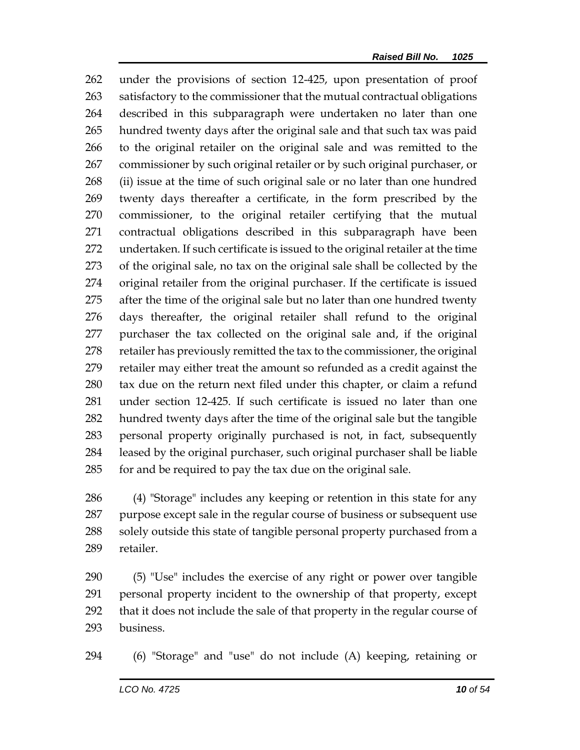under the provisions of section 12-425, upon presentation of proof satisfactory to the commissioner that the mutual contractual obligations described in this subparagraph were undertaken no later than one hundred twenty days after the original sale and that such tax was paid to the original retailer on the original sale and was remitted to the commissioner by such original retailer or by such original purchaser, or (ii) issue at the time of such original sale or no later than one hundred twenty days thereafter a certificate, in the form prescribed by the commissioner, to the original retailer certifying that the mutual contractual obligations described in this subparagraph have been undertaken. If such certificate is issued to the original retailer at the time of the original sale, no tax on the original sale shall be collected by the original retailer from the original purchaser. If the certificate is issued after the time of the original sale but no later than one hundred twenty days thereafter, the original retailer shall refund to the original purchaser the tax collected on the original sale and, if the original retailer has previously remitted the tax to the commissioner, the original retailer may either treat the amount so refunded as a credit against the tax due on the return next filed under this chapter, or claim a refund under section 12-425. If such certificate is issued no later than one hundred twenty days after the time of the original sale but the tangible personal property originally purchased is not, in fact, subsequently leased by the original purchaser, such original purchaser shall be liable for and be required to pay the tax due on the original sale.

 (4) "Storage" includes any keeping or retention in this state for any purpose except sale in the regular course of business or subsequent use 288 solely outside this state of tangible personal property purchased from a retailer.

 (5) "Use" includes the exercise of any right or power over tangible personal property incident to the ownership of that property, except that it does not include the sale of that property in the regular course of business.

(6) "Storage" and "use" do not include (A) keeping, retaining or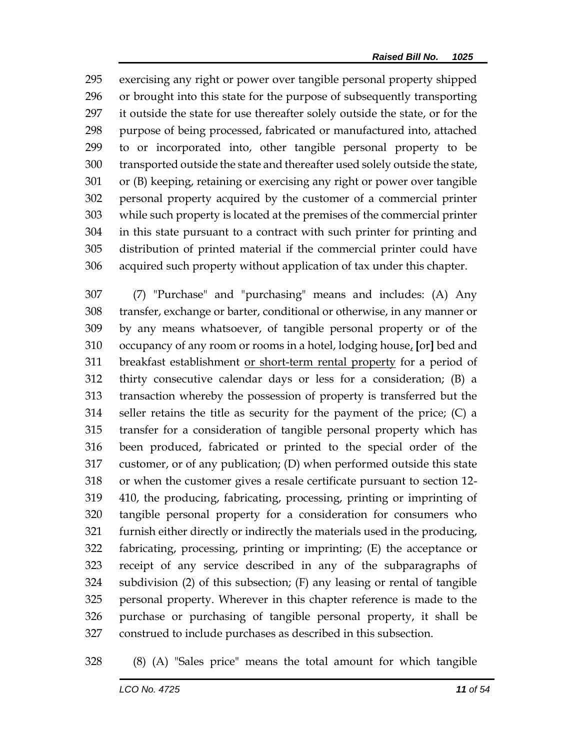exercising any right or power over tangible personal property shipped or brought into this state for the purpose of subsequently transporting it outside the state for use thereafter solely outside the state, or for the purpose of being processed, fabricated or manufactured into, attached to or incorporated into, other tangible personal property to be transported outside the state and thereafter used solely outside the state, or (B) keeping, retaining or exercising any right or power over tangible personal property acquired by the customer of a commercial printer while such property is located at the premises of the commercial printer in this state pursuant to a contract with such printer for printing and distribution of printed material if the commercial printer could have acquired such property without application of tax under this chapter.

 (7) "Purchase" and "purchasing" means and includes: (A) Any transfer, exchange or barter, conditional or otherwise, in any manner or by any means whatsoever, of tangible personal property or of the occupancy of any room or rooms in a hotel, lodging house, **[**or**]** bed and breakfast establishment or short-term rental property for a period of thirty consecutive calendar days or less for a consideration; (B) a transaction whereby the possession of property is transferred but the seller retains the title as security for the payment of the price; (C) a transfer for a consideration of tangible personal property which has been produced, fabricated or printed to the special order of the customer, or of any publication; (D) when performed outside this state or when the customer gives a resale certificate pursuant to section 12- 410, the producing, fabricating, processing, printing or imprinting of tangible personal property for a consideration for consumers who furnish either directly or indirectly the materials used in the producing, fabricating, processing, printing or imprinting; (E) the acceptance or receipt of any service described in any of the subparagraphs of subdivision (2) of this subsection; (F) any leasing or rental of tangible personal property. Wherever in this chapter reference is made to the purchase or purchasing of tangible personal property, it shall be construed to include purchases as described in this subsection.

(8) (A) "Sales price" means the total amount for which tangible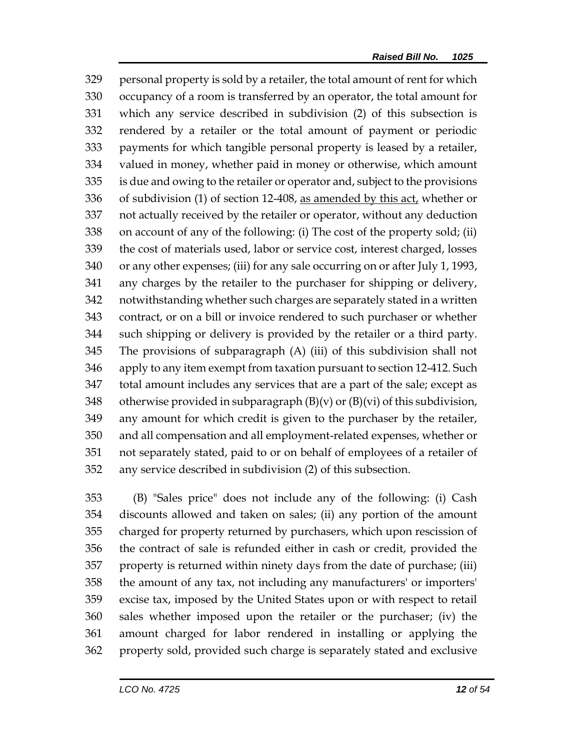personal property is sold by a retailer, the total amount of rent for which occupancy of a room is transferred by an operator, the total amount for which any service described in subdivision (2) of this subsection is rendered by a retailer or the total amount of payment or periodic payments for which tangible personal property is leased by a retailer, valued in money, whether paid in money or otherwise, which amount is due and owing to the retailer or operator and, subject to the provisions 336 of subdivision (1) of section 12-408, as amended by this act, whether or not actually received by the retailer or operator, without any deduction on account of any of the following: (i) The cost of the property sold; (ii) the cost of materials used, labor or service cost, interest charged, losses or any other expenses; (iii) for any sale occurring on or after July 1, 1993, any charges by the retailer to the purchaser for shipping or delivery, notwithstanding whether such charges are separately stated in a written contract, or on a bill or invoice rendered to such purchaser or whether such shipping or delivery is provided by the retailer or a third party. The provisions of subparagraph (A) (iii) of this subdivision shall not apply to any item exempt from taxation pursuant to section 12-412. Such total amount includes any services that are a part of the sale; except as 348 otherwise provided in subparagraph  $(B)(v)$  or  $(B)(vi)$  of this subdivision, any amount for which credit is given to the purchaser by the retailer, and all compensation and all employment-related expenses, whether or not separately stated, paid to or on behalf of employees of a retailer of any service described in subdivision (2) of this subsection.

 (B) "Sales price" does not include any of the following: (i) Cash discounts allowed and taken on sales; (ii) any portion of the amount charged for property returned by purchasers, which upon rescission of the contract of sale is refunded either in cash or credit, provided the property is returned within ninety days from the date of purchase; (iii) the amount of any tax, not including any manufacturers' or importers' excise tax, imposed by the United States upon or with respect to retail sales whether imposed upon the retailer or the purchaser; (iv) the amount charged for labor rendered in installing or applying the property sold, provided such charge is separately stated and exclusive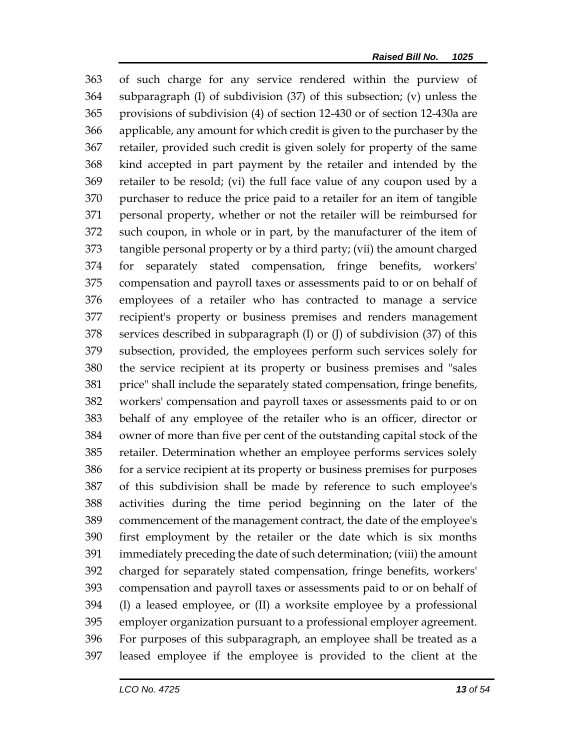of such charge for any service rendered within the purview of subparagraph (I) of subdivision (37) of this subsection; (v) unless the provisions of subdivision (4) of section 12-430 or of section 12-430a are applicable, any amount for which credit is given to the purchaser by the retailer, provided such credit is given solely for property of the same kind accepted in part payment by the retailer and intended by the retailer to be resold; (vi) the full face value of any coupon used by a purchaser to reduce the price paid to a retailer for an item of tangible personal property, whether or not the retailer will be reimbursed for such coupon, in whole or in part, by the manufacturer of the item of tangible personal property or by a third party; (vii) the amount charged for separately stated compensation, fringe benefits, workers' compensation and payroll taxes or assessments paid to or on behalf of employees of a retailer who has contracted to manage a service recipient's property or business premises and renders management services described in subparagraph (I) or (J) of subdivision (37) of this subsection, provided, the employees perform such services solely for the service recipient at its property or business premises and "sales price" shall include the separately stated compensation, fringe benefits, workers' compensation and payroll taxes or assessments paid to or on behalf of any employee of the retailer who is an officer, director or owner of more than five per cent of the outstanding capital stock of the retailer. Determination whether an employee performs services solely for a service recipient at its property or business premises for purposes of this subdivision shall be made by reference to such employee's activities during the time period beginning on the later of the commencement of the management contract, the date of the employee's first employment by the retailer or the date which is six months immediately preceding the date of such determination; (viii) the amount charged for separately stated compensation, fringe benefits, workers' compensation and payroll taxes or assessments paid to or on behalf of (I) a leased employee, or (II) a worksite employee by a professional employer organization pursuant to a professional employer agreement. For purposes of this subparagraph, an employee shall be treated as a leased employee if the employee is provided to the client at the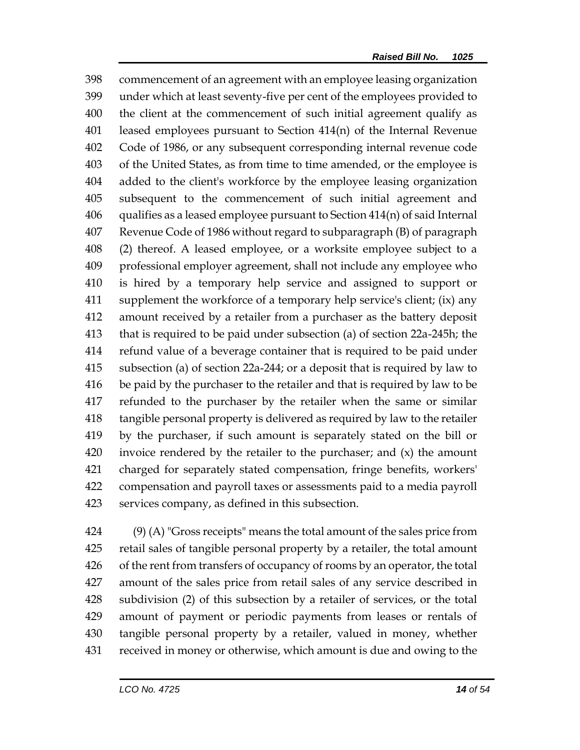commencement of an agreement with an employee leasing organization under which at least seventy-five per cent of the employees provided to the client at the commencement of such initial agreement qualify as leased employees pursuant to Section 414(n) of the Internal Revenue Code of 1986, or any subsequent corresponding internal revenue code of the United States, as from time to time amended, or the employee is added to the client's workforce by the employee leasing organization subsequent to the commencement of such initial agreement and qualifies as a leased employee pursuant to Section 414(n) of said Internal Revenue Code of 1986 without regard to subparagraph (B) of paragraph (2) thereof. A leased employee, or a worksite employee subject to a professional employer agreement, shall not include any employee who is hired by a temporary help service and assigned to support or supplement the workforce of a temporary help service's client; (ix) any amount received by a retailer from a purchaser as the battery deposit that is required to be paid under subsection (a) of section 22a-245h; the refund value of a beverage container that is required to be paid under subsection (a) of section 22a-244; or a deposit that is required by law to be paid by the purchaser to the retailer and that is required by law to be refunded to the purchaser by the retailer when the same or similar tangible personal property is delivered as required by law to the retailer by the purchaser, if such amount is separately stated on the bill or invoice rendered by the retailer to the purchaser; and (x) the amount charged for separately stated compensation, fringe benefits, workers' compensation and payroll taxes or assessments paid to a media payroll services company, as defined in this subsection.

 (9) (A) "Gross receipts" means the total amount of the sales price from retail sales of tangible personal property by a retailer, the total amount of the rent from transfers of occupancy of rooms by an operator, the total amount of the sales price from retail sales of any service described in subdivision (2) of this subsection by a retailer of services, or the total amount of payment or periodic payments from leases or rentals of tangible personal property by a retailer, valued in money, whether received in money or otherwise, which amount is due and owing to the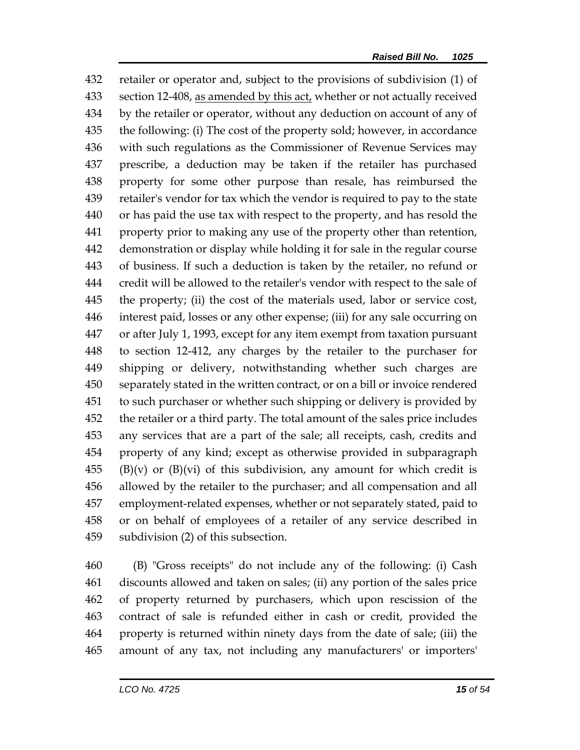retailer or operator and, subject to the provisions of subdivision (1) of section 12-408, as amended by this act, whether or not actually received by the retailer or operator, without any deduction on account of any of the following: (i) The cost of the property sold; however, in accordance with such regulations as the Commissioner of Revenue Services may prescribe, a deduction may be taken if the retailer has purchased property for some other purpose than resale, has reimbursed the retailer's vendor for tax which the vendor is required to pay to the state or has paid the use tax with respect to the property, and has resold the property prior to making any use of the property other than retention, demonstration or display while holding it for sale in the regular course of business. If such a deduction is taken by the retailer, no refund or credit will be allowed to the retailer's vendor with respect to the sale of the property; (ii) the cost of the materials used, labor or service cost, interest paid, losses or any other expense; (iii) for any sale occurring on or after July 1, 1993, except for any item exempt from taxation pursuant to section 12-412, any charges by the retailer to the purchaser for shipping or delivery, notwithstanding whether such charges are separately stated in the written contract, or on a bill or invoice rendered to such purchaser or whether such shipping or delivery is provided by the retailer or a third party. The total amount of the sales price includes any services that are a part of the sale; all receipts, cash, credits and property of any kind; except as otherwise provided in subparagraph (B)(v) or (B)(vi) of this subdivision, any amount for which credit is allowed by the retailer to the purchaser; and all compensation and all employment-related expenses, whether or not separately stated, paid to or on behalf of employees of a retailer of any service described in subdivision (2) of this subsection.

 (B) "Gross receipts" do not include any of the following: (i) Cash discounts allowed and taken on sales; (ii) any portion of the sales price of property returned by purchasers, which upon rescission of the contract of sale is refunded either in cash or credit, provided the property is returned within ninety days from the date of sale; (iii) the amount of any tax, not including any manufacturers' or importers'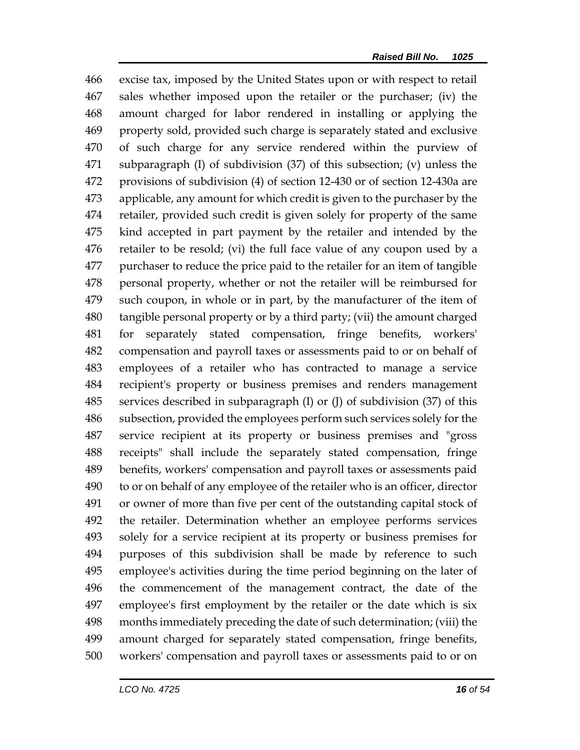excise tax, imposed by the United States upon or with respect to retail sales whether imposed upon the retailer or the purchaser; (iv) the amount charged for labor rendered in installing or applying the property sold, provided such charge is separately stated and exclusive of such charge for any service rendered within the purview of subparagraph (I) of subdivision (37) of this subsection; (v) unless the provisions of subdivision (4) of section 12-430 or of section 12-430a are applicable, any amount for which credit is given to the purchaser by the retailer, provided such credit is given solely for property of the same kind accepted in part payment by the retailer and intended by the retailer to be resold; (vi) the full face value of any coupon used by a purchaser to reduce the price paid to the retailer for an item of tangible personal property, whether or not the retailer will be reimbursed for such coupon, in whole or in part, by the manufacturer of the item of tangible personal property or by a third party; (vii) the amount charged for separately stated compensation, fringe benefits, workers' compensation and payroll taxes or assessments paid to or on behalf of employees of a retailer who has contracted to manage a service recipient's property or business premises and renders management services described in subparagraph (I) or (J) of subdivision (37) of this subsection, provided the employees perform such services solely for the service recipient at its property or business premises and "gross receipts" shall include the separately stated compensation, fringe benefits, workers' compensation and payroll taxes or assessments paid to or on behalf of any employee of the retailer who is an officer, director or owner of more than five per cent of the outstanding capital stock of the retailer. Determination whether an employee performs services solely for a service recipient at its property or business premises for purposes of this subdivision shall be made by reference to such employee's activities during the time period beginning on the later of the commencement of the management contract, the date of the employee's first employment by the retailer or the date which is six months immediately preceding the date of such determination; (viii) the amount charged for separately stated compensation, fringe benefits, workers' compensation and payroll taxes or assessments paid to or on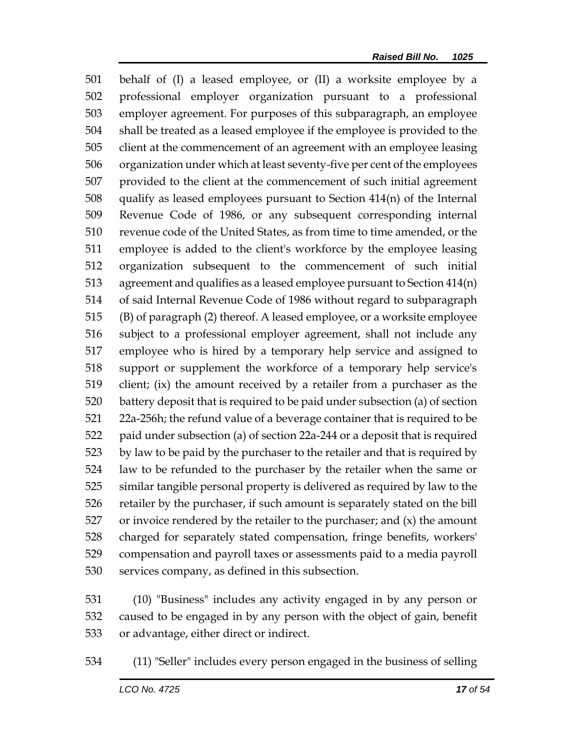behalf of (I) a leased employee, or (II) a worksite employee by a professional employer organization pursuant to a professional employer agreement. For purposes of this subparagraph, an employee shall be treated as a leased employee if the employee is provided to the client at the commencement of an agreement with an employee leasing organization under which at least seventy-five per cent of the employees provided to the client at the commencement of such initial agreement qualify as leased employees pursuant to Section 414(n) of the Internal Revenue Code of 1986, or any subsequent corresponding internal revenue code of the United States, as from time to time amended, or the employee is added to the client's workforce by the employee leasing organization subsequent to the commencement of such initial agreement and qualifies as a leased employee pursuant to Section 414(n) of said Internal Revenue Code of 1986 without regard to subparagraph (B) of paragraph (2) thereof. A leased employee, or a worksite employee subject to a professional employer agreement, shall not include any employee who is hired by a temporary help service and assigned to support or supplement the workforce of a temporary help service's client; (ix) the amount received by a retailer from a purchaser as the battery deposit that is required to be paid under subsection (a) of section 22a-256h; the refund value of a beverage container that is required to be paid under subsection (a) of section 22a-244 or a deposit that is required by law to be paid by the purchaser to the retailer and that is required by law to be refunded to the purchaser by the retailer when the same or similar tangible personal property is delivered as required by law to the retailer by the purchaser, if such amount is separately stated on the bill or invoice rendered by the retailer to the purchaser; and  $(x)$  the amount charged for separately stated compensation, fringe benefits, workers' compensation and payroll taxes or assessments paid to a media payroll services company, as defined in this subsection.

 (10) "Business" includes any activity engaged in by any person or caused to be engaged in by any person with the object of gain, benefit or advantage, either direct or indirect.

(11) "Seller" includes every person engaged in the business of selling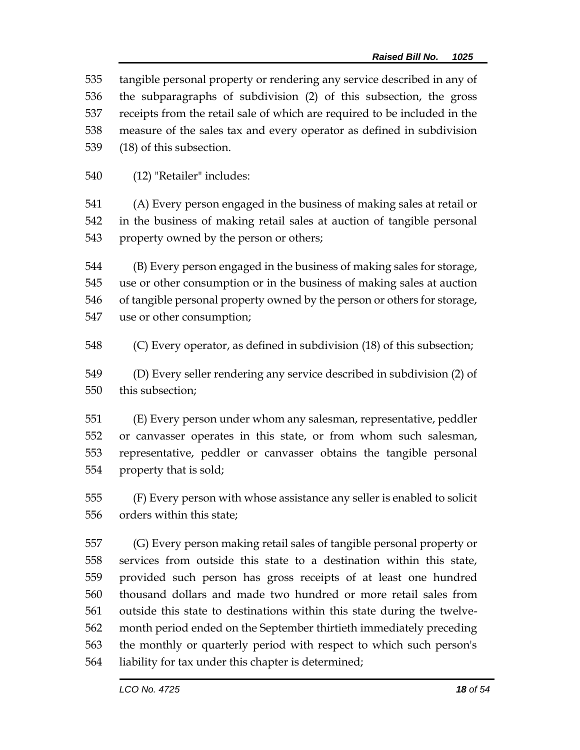tangible personal property or rendering any service described in any of the subparagraphs of subdivision (2) of this subsection, the gross receipts from the retail sale of which are required to be included in the measure of the sales tax and every operator as defined in subdivision (18) of this subsection.

(12) "Retailer" includes:

 (A) Every person engaged in the business of making sales at retail or in the business of making retail sales at auction of tangible personal property owned by the person or others;

 (B) Every person engaged in the business of making sales for storage, use or other consumption or in the business of making sales at auction of tangible personal property owned by the person or others for storage, use or other consumption;

(C) Every operator, as defined in subdivision (18) of this subsection;

 (D) Every seller rendering any service described in subdivision (2) of this subsection;

 (E) Every person under whom any salesman, representative, peddler or canvasser operates in this state, or from whom such salesman, representative, peddler or canvasser obtains the tangible personal property that is sold;

 (F) Every person with whose assistance any seller is enabled to solicit orders within this state;

 (G) Every person making retail sales of tangible personal property or services from outside this state to a destination within this state, provided such person has gross receipts of at least one hundred thousand dollars and made two hundred or more retail sales from outside this state to destinations within this state during the twelve- month period ended on the September thirtieth immediately preceding the monthly or quarterly period with respect to which such person's liability for tax under this chapter is determined;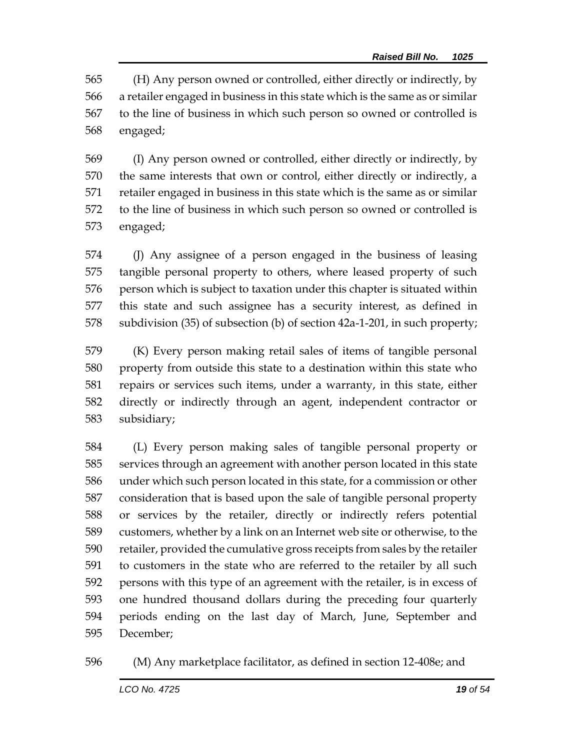(H) Any person owned or controlled, either directly or indirectly, by a retailer engaged in business in this state which is the same as or similar to the line of business in which such person so owned or controlled is engaged;

 (I) Any person owned or controlled, either directly or indirectly, by the same interests that own or control, either directly or indirectly, a retailer engaged in business in this state which is the same as or similar to the line of business in which such person so owned or controlled is engaged;

 (J) Any assignee of a person engaged in the business of leasing tangible personal property to others, where leased property of such person which is subject to taxation under this chapter is situated within this state and such assignee has a security interest, as defined in subdivision (35) of subsection (b) of section 42a-1-201, in such property;

 (K) Every person making retail sales of items of tangible personal property from outside this state to a destination within this state who repairs or services such items, under a warranty, in this state, either directly or indirectly through an agent, independent contractor or subsidiary;

 (L) Every person making sales of tangible personal property or services through an agreement with another person located in this state under which such person located in this state, for a commission or other consideration that is based upon the sale of tangible personal property or services by the retailer, directly or indirectly refers potential customers, whether by a link on an Internet web site or otherwise, to the retailer, provided the cumulative gross receipts from sales by the retailer to customers in the state who are referred to the retailer by all such persons with this type of an agreement with the retailer, is in excess of one hundred thousand dollars during the preceding four quarterly periods ending on the last day of March, June, September and December;

(M) Any marketplace facilitator, as defined in section 12-408e; and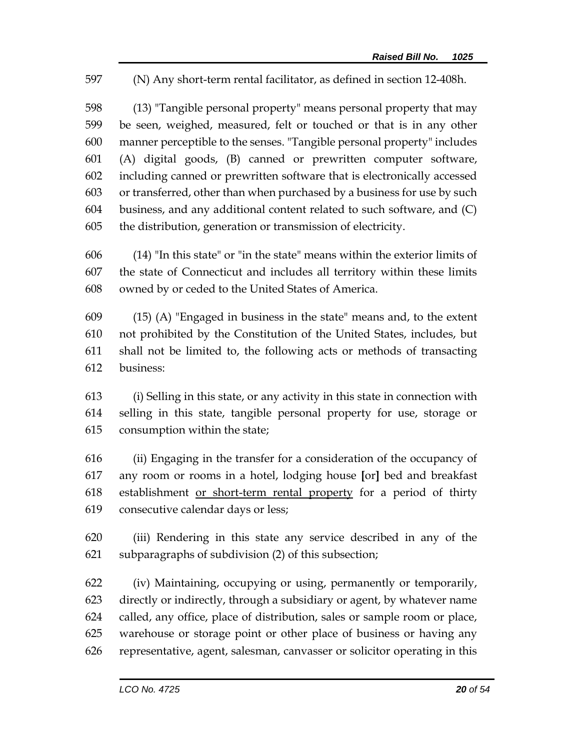(N) Any short-term rental facilitator, as defined in section 12-408h.

 (13) "Tangible personal property" means personal property that may be seen, weighed, measured, felt or touched or that is in any other manner perceptible to the senses. "Tangible personal property" includes (A) digital goods, (B) canned or prewritten computer software, including canned or prewritten software that is electronically accessed or transferred, other than when purchased by a business for use by such business, and any additional content related to such software, and (C) the distribution, generation or transmission of electricity.

 (14) "In this state" or "in the state" means within the exterior limits of the state of Connecticut and includes all territory within these limits owned by or ceded to the United States of America.

 (15) (A) "Engaged in business in the state" means and, to the extent not prohibited by the Constitution of the United States, includes, but shall not be limited to, the following acts or methods of transacting business:

 (i) Selling in this state, or any activity in this state in connection with selling in this state, tangible personal property for use, storage or consumption within the state;

 (ii) Engaging in the transfer for a consideration of the occupancy of any room or rooms in a hotel, lodging house **[**or**]** bed and breakfast establishment or short-term rental property for a period of thirty consecutive calendar days or less;

 (iii) Rendering in this state any service described in any of the subparagraphs of subdivision (2) of this subsection;

 (iv) Maintaining, occupying or using, permanently or temporarily, directly or indirectly, through a subsidiary or agent, by whatever name called, any office, place of distribution, sales or sample room or place, warehouse or storage point or other place of business or having any representative, agent, salesman, canvasser or solicitor operating in this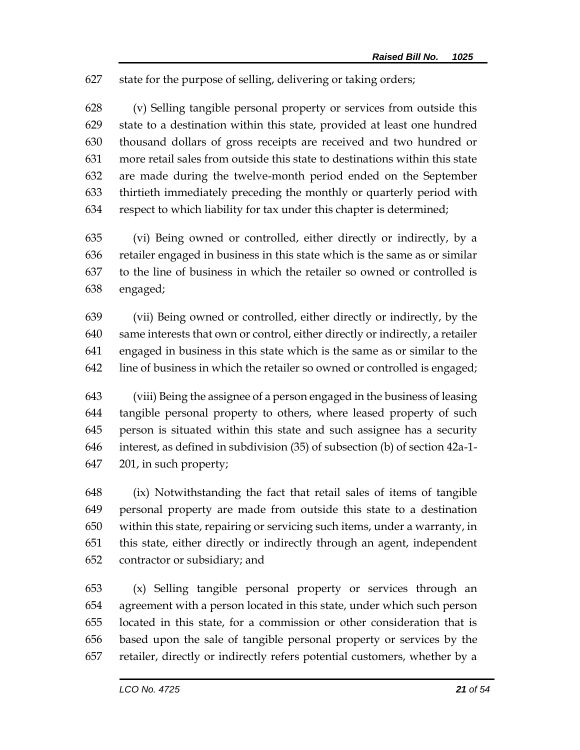state for the purpose of selling, delivering or taking orders;

 (v) Selling tangible personal property or services from outside this state to a destination within this state, provided at least one hundred thousand dollars of gross receipts are received and two hundred or more retail sales from outside this state to destinations within this state are made during the twelve-month period ended on the September thirtieth immediately preceding the monthly or quarterly period with respect to which liability for tax under this chapter is determined;

 (vi) Being owned or controlled, either directly or indirectly, by a retailer engaged in business in this state which is the same as or similar to the line of business in which the retailer so owned or controlled is engaged;

 (vii) Being owned or controlled, either directly or indirectly, by the same interests that own or control, either directly or indirectly, a retailer engaged in business in this state which is the same as or similar to the line of business in which the retailer so owned or controlled is engaged;

 (viii) Being the assignee of a person engaged in the business of leasing tangible personal property to others, where leased property of such person is situated within this state and such assignee has a security interest, as defined in subdivision (35) of subsection (b) of section 42a-1- 201, in such property;

 (ix) Notwithstanding the fact that retail sales of items of tangible personal property are made from outside this state to a destination within this state, repairing or servicing such items, under a warranty, in this state, either directly or indirectly through an agent, independent contractor or subsidiary; and

 (x) Selling tangible personal property or services through an agreement with a person located in this state, under which such person located in this state, for a commission or other consideration that is based upon the sale of tangible personal property or services by the retailer, directly or indirectly refers potential customers, whether by a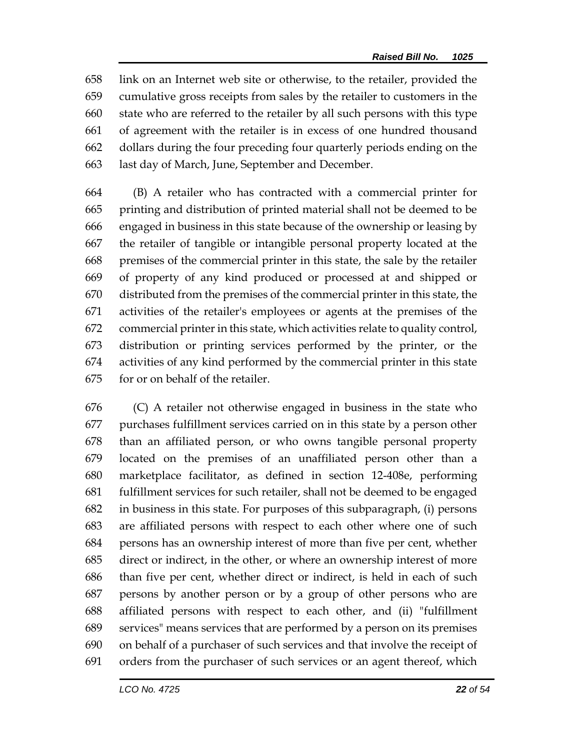link on an Internet web site or otherwise, to the retailer, provided the cumulative gross receipts from sales by the retailer to customers in the state who are referred to the retailer by all such persons with this type of agreement with the retailer is in excess of one hundred thousand dollars during the four preceding four quarterly periods ending on the last day of March, June, September and December.

 (B) A retailer who has contracted with a commercial printer for printing and distribution of printed material shall not be deemed to be engaged in business in this state because of the ownership or leasing by the retailer of tangible or intangible personal property located at the premises of the commercial printer in this state, the sale by the retailer of property of any kind produced or processed at and shipped or distributed from the premises of the commercial printer in this state, the activities of the retailer's employees or agents at the premises of the commercial printer in this state, which activities relate to quality control, distribution or printing services performed by the printer, or the activities of any kind performed by the commercial printer in this state for or on behalf of the retailer.

 (C) A retailer not otherwise engaged in business in the state who purchases fulfillment services carried on in this state by a person other than an affiliated person, or who owns tangible personal property located on the premises of an unaffiliated person other than a marketplace facilitator, as defined in section 12-408e, performing fulfillment services for such retailer, shall not be deemed to be engaged in business in this state. For purposes of this subparagraph, (i) persons are affiliated persons with respect to each other where one of such persons has an ownership interest of more than five per cent, whether direct or indirect, in the other, or where an ownership interest of more than five per cent, whether direct or indirect, is held in each of such persons by another person or by a group of other persons who are affiliated persons with respect to each other, and (ii) "fulfillment services" means services that are performed by a person on its premises on behalf of a purchaser of such services and that involve the receipt of orders from the purchaser of such services or an agent thereof, which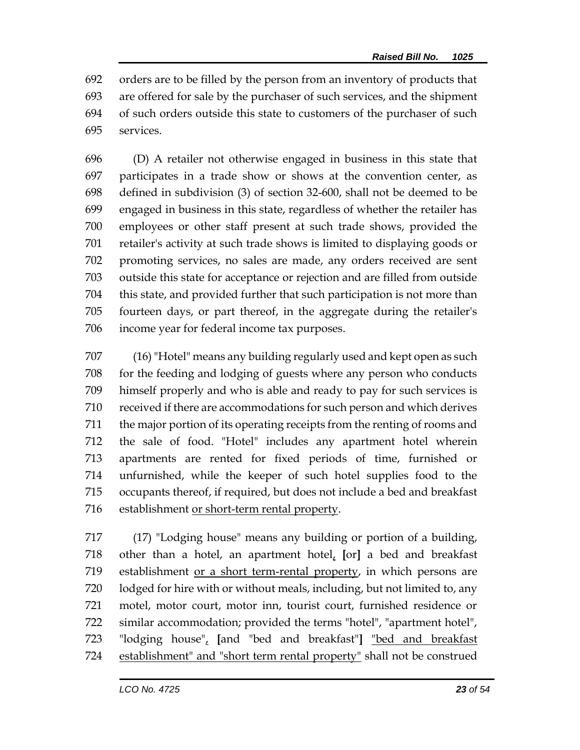orders are to be filled by the person from an inventory of products that are offered for sale by the purchaser of such services, and the shipment of such orders outside this state to customers of the purchaser of such services.

 (D) A retailer not otherwise engaged in business in this state that participates in a trade show or shows at the convention center, as defined in subdivision (3) of section 32-600, shall not be deemed to be engaged in business in this state, regardless of whether the retailer has employees or other staff present at such trade shows, provided the retailer's activity at such trade shows is limited to displaying goods or promoting services, no sales are made, any orders received are sent outside this state for acceptance or rejection and are filled from outside this state, and provided further that such participation is not more than fourteen days, or part thereof, in the aggregate during the retailer's income year for federal income tax purposes.

 (16)"Hotel" means any building regularly used and kept open as such for the feeding and lodging of guests where any person who conducts himself properly and who is able and ready to pay for such services is received if there are accommodations for such person and which derives the major portion of its operating receipts from the renting of rooms and the sale of food. "Hotel" includes any apartment hotel wherein apartments are rented for fixed periods of time, furnished or unfurnished, while the keeper of such hotel supplies food to the occupants thereof, if required, but does not include a bed and breakfast establishment or short-term rental property.

 (17) "Lodging house" means any building or portion of a building, other than a hotel, an apartment hotel, **[**or**]** a bed and breakfast establishment or a short term-rental property, in which persons are lodged for hire with or without meals, including, but not limited to, any motel, motor court, motor inn, tourist court, furnished residence or similar accommodation; provided the terms "hotel", "apartment hotel", "lodging house", **[**and "bed and breakfast"**]** "bed and breakfast establishment" and "short term rental property" shall not be construed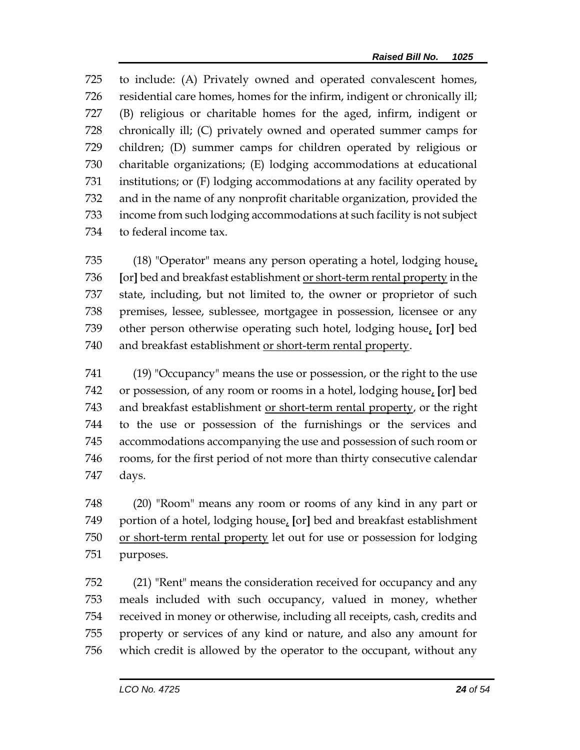to include: (A) Privately owned and operated convalescent homes, residential care homes, homes for the infirm, indigent or chronically ill; (B) religious or charitable homes for the aged, infirm, indigent or chronically ill; (C) privately owned and operated summer camps for children; (D) summer camps for children operated by religious or charitable organizations; (E) lodging accommodations at educational institutions; or (F) lodging accommodations at any facility operated by and in the name of any nonprofit charitable organization, provided the income from such lodging accommodations at such facility is not subject to federal income tax.

 (18) "Operator" means any person operating a hotel, lodging house, **[**or**]** bed and breakfast establishment or short-term rental property in the state, including, but not limited to, the owner or proprietor of such premises, lessee, sublessee, mortgagee in possession, licensee or any other person otherwise operating such hotel, lodging house, **[**or**]** bed and breakfast establishment or short-term rental property.

 (19) "Occupancy" means the use or possession, or the right to the use or possession, of any room or rooms in a hotel, lodging house, **[**or**]** bed and breakfast establishment or short-term rental property, or the right to the use or possession of the furnishings or the services and accommodations accompanying the use and possession of such room or rooms, for the first period of not more than thirty consecutive calendar days.

 (20) "Room" means any room or rooms of any kind in any part or portion of a hotel, lodging house, **[**or**]** bed and breakfast establishment or short-term rental property let out for use or possession for lodging purposes.

 (21) "Rent" means the consideration received for occupancy and any meals included with such occupancy, valued in money, whether received in money or otherwise, including all receipts, cash, credits and property or services of any kind or nature, and also any amount for which credit is allowed by the operator to the occupant, without any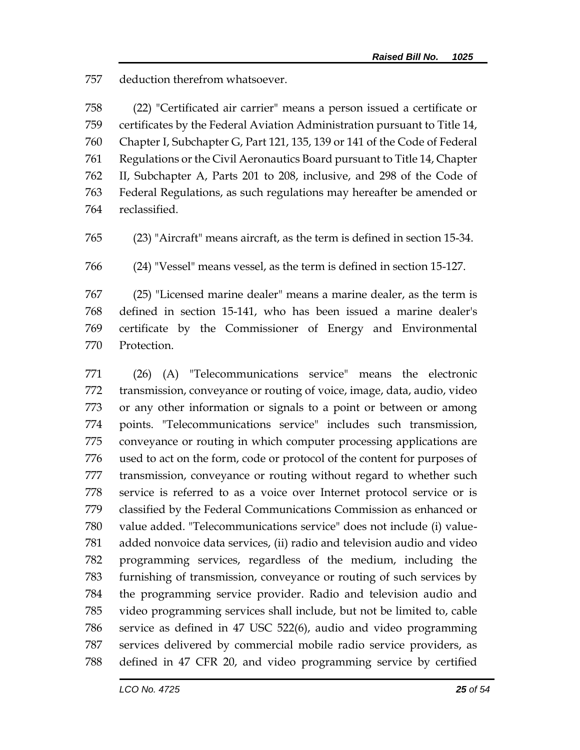deduction therefrom whatsoever.

 (22) "Certificated air carrier" means a person issued a certificate or certificates by the Federal Aviation Administration pursuant to Title 14, Chapter I, Subchapter G, Part 121, 135, 139 or 141 of the Code of Federal Regulations or the Civil Aeronautics Board pursuant to Title 14, Chapter II, Subchapter A, Parts 201 to 208, inclusive, and 298 of the Code of Federal Regulations, as such regulations may hereafter be amended or reclassified.

(23) "Aircraft" means aircraft, as the term is defined in section 15-34.

(24) "Vessel" means vessel, as the term is defined in section 15-127.

 (25) "Licensed marine dealer" means a marine dealer, as the term is defined in section 15-141, who has been issued a marine dealer's certificate by the Commissioner of Energy and Environmental Protection.

 (26) (A) "Telecommunications service" means the electronic transmission, conveyance or routing of voice, image, data, audio, video or any other information or signals to a point or between or among points. "Telecommunications service" includes such transmission, conveyance or routing in which computer processing applications are used to act on the form, code or protocol of the content for purposes of transmission, conveyance or routing without regard to whether such service is referred to as a voice over Internet protocol service or is classified by the Federal Communications Commission as enhanced or value added. "Telecommunications service" does not include (i) value- added nonvoice data services, (ii) radio and television audio and video programming services, regardless of the medium, including the furnishing of transmission, conveyance or routing of such services by the programming service provider. Radio and television audio and video programming services shall include, but not be limited to, cable service as defined in 47 USC 522(6), audio and video programming services delivered by commercial mobile radio service providers, as defined in 47 CFR 20, and video programming service by certified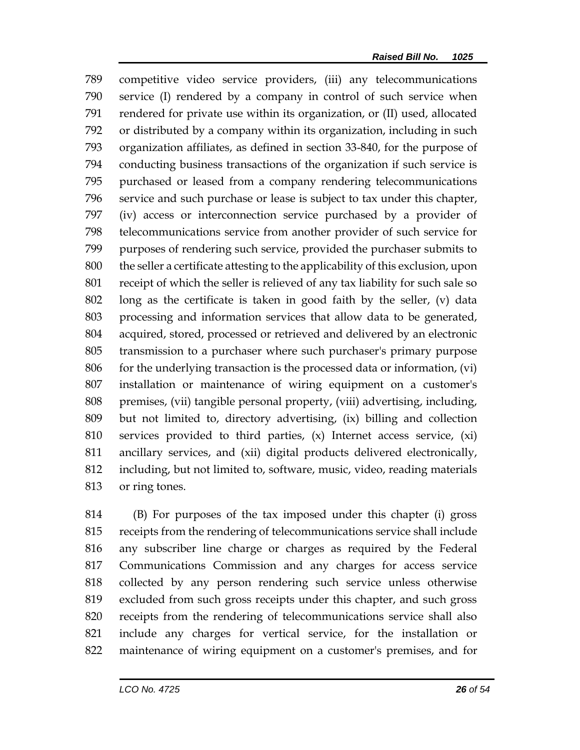competitive video service providers, (iii) any telecommunications service (I) rendered by a company in control of such service when rendered for private use within its organization, or (II) used, allocated or distributed by a company within its organization, including in such organization affiliates, as defined in section 33-840, for the purpose of conducting business transactions of the organization if such service is purchased or leased from a company rendering telecommunications service and such purchase or lease is subject to tax under this chapter, (iv) access or interconnection service purchased by a provider of telecommunications service from another provider of such service for purposes of rendering such service, provided the purchaser submits to the seller a certificate attesting to the applicability of this exclusion, upon receipt of which the seller is relieved of any tax liability for such sale so long as the certificate is taken in good faith by the seller, (v) data processing and information services that allow data to be generated, acquired, stored, processed or retrieved and delivered by an electronic transmission to a purchaser where such purchaser's primary purpose for the underlying transaction is the processed data or information, (vi) installation or maintenance of wiring equipment on a customer's premises, (vii) tangible personal property, (viii) advertising, including, but not limited to, directory advertising, (ix) billing and collection services provided to third parties, (x) Internet access service, (xi) ancillary services, and (xii) digital products delivered electronically, including, but not limited to, software, music, video, reading materials or ring tones.

 (B) For purposes of the tax imposed under this chapter (i) gross receipts from the rendering of telecommunications service shall include any subscriber line charge or charges as required by the Federal Communications Commission and any charges for access service collected by any person rendering such service unless otherwise excluded from such gross receipts under this chapter, and such gross receipts from the rendering of telecommunications service shall also include any charges for vertical service, for the installation or maintenance of wiring equipment on a customer's premises, and for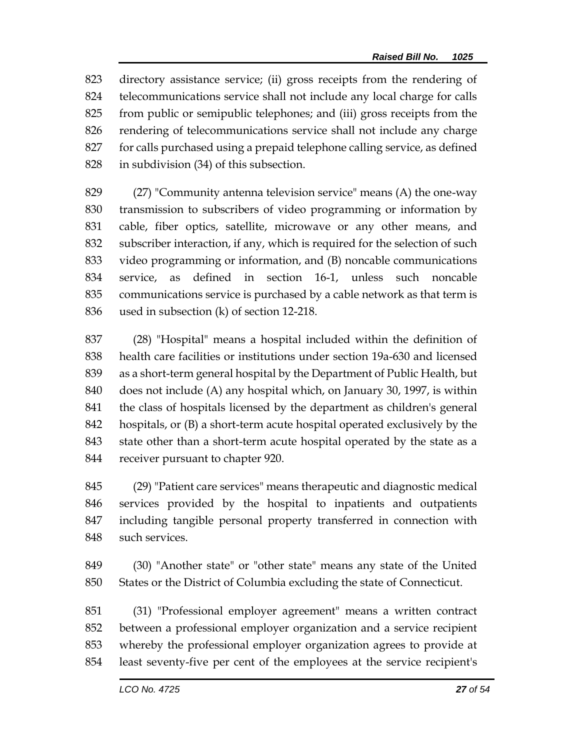directory assistance service; (ii) gross receipts from the rendering of telecommunications service shall not include any local charge for calls from public or semipublic telephones; and (iii) gross receipts from the rendering of telecommunications service shall not include any charge for calls purchased using a prepaid telephone calling service, as defined in subdivision (34) of this subsection.

 (27) "Community antenna television service" means (A) the one-way transmission to subscribers of video programming or information by cable, fiber optics, satellite, microwave or any other means, and subscriber interaction, if any, which is required for the selection of such video programming or information, and (B) noncable communications service, as defined in section 16-1, unless such noncable communications service is purchased by a cable network as that term is used in subsection (k) of section 12-218.

 (28) "Hospital" means a hospital included within the definition of health care facilities or institutions under section 19a-630 and licensed as a short-term general hospital by the Department of Public Health, but does not include (A) any hospital which, on January 30, 1997, is within the class of hospitals licensed by the department as children's general hospitals, or (B) a short-term acute hospital operated exclusively by the state other than a short-term acute hospital operated by the state as a receiver pursuant to chapter 920.

 (29) "Patient care services" means therapeutic and diagnostic medical services provided by the hospital to inpatients and outpatients including tangible personal property transferred in connection with such services.

 (30) "Another state" or "other state" means any state of the United States or the District of Columbia excluding the state of Connecticut.

 (31) "Professional employer agreement" means a written contract between a professional employer organization and a service recipient whereby the professional employer organization agrees to provide at least seventy-five per cent of the employees at the service recipient's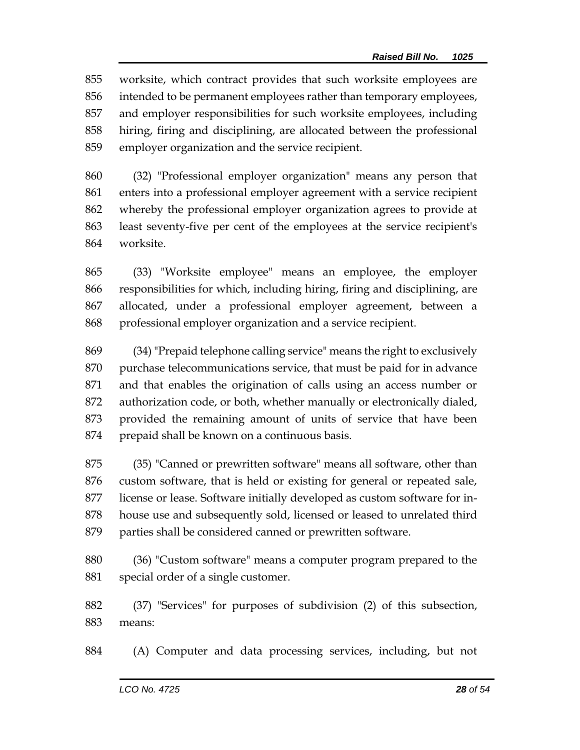worksite, which contract provides that such worksite employees are intended to be permanent employees rather than temporary employees, and employer responsibilities for such worksite employees, including hiring, firing and disciplining, are allocated between the professional employer organization and the service recipient.

 (32) "Professional employer organization" means any person that enters into a professional employer agreement with a service recipient whereby the professional employer organization agrees to provide at least seventy-five per cent of the employees at the service recipient's worksite.

 (33) "Worksite employee" means an employee, the employer responsibilities for which, including hiring, firing and disciplining, are allocated, under a professional employer agreement, between a professional employer organization and a service recipient.

 (34) "Prepaid telephone calling service" means the right to exclusively purchase telecommunications service, that must be paid for in advance and that enables the origination of calls using an access number or authorization code, or both, whether manually or electronically dialed, provided the remaining amount of units of service that have been prepaid shall be known on a continuous basis.

 (35) "Canned or prewritten software" means all software, other than custom software, that is held or existing for general or repeated sale, license or lease. Software initially developed as custom software for in- house use and subsequently sold, licensed or leased to unrelated third parties shall be considered canned or prewritten software.

 (36) "Custom software" means a computer program prepared to the special order of a single customer.

 (37) "Services" for purposes of subdivision (2) of this subsection, means:

(A) Computer and data processing services, including, but not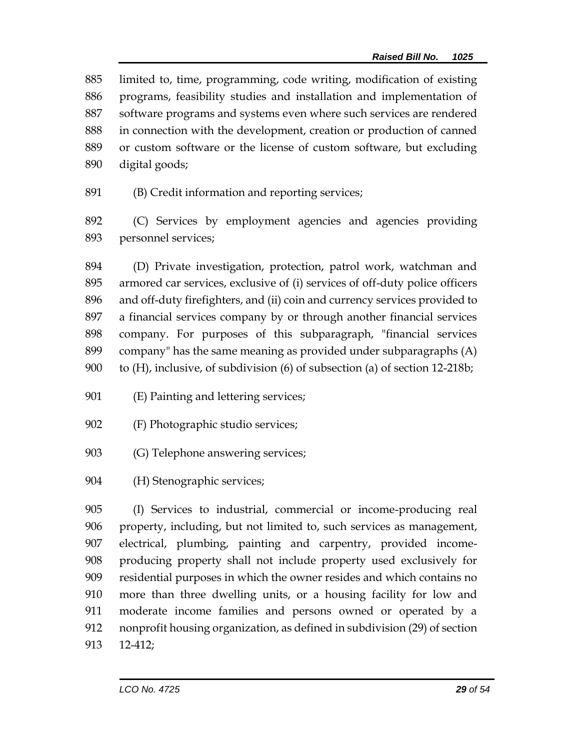limited to, time, programming, code writing, modification of existing programs, feasibility studies and installation and implementation of software programs and systems even where such services are rendered in connection with the development, creation or production of canned or custom software or the license of custom software, but excluding digital goods;

(B) Credit information and reporting services;

 (C) Services by employment agencies and agencies providing personnel services;

 (D) Private investigation, protection, patrol work, watchman and armored car services, exclusive of (i) services of off-duty police officers and off-duty firefighters, and (ii) coin and currency services provided to a financial services company by or through another financial services company. For purposes of this subparagraph, "financial services company" has the same meaning as provided under subparagraphs (A) to (H), inclusive, of subdivision (6) of subsection (a) of section 12-218b;

- (E) Painting and lettering services;
- (F) Photographic studio services;
- (G) Telephone answering services;
- (H) Stenographic services;

 (I) Services to industrial, commercial or income-producing real property, including, but not limited to, such services as management, electrical, plumbing, painting and carpentry, provided income- producing property shall not include property used exclusively for residential purposes in which the owner resides and which contains no more than three dwelling units, or a housing facility for low and moderate income families and persons owned or operated by a nonprofit housing organization, as defined in subdivision (29) of section 12-412;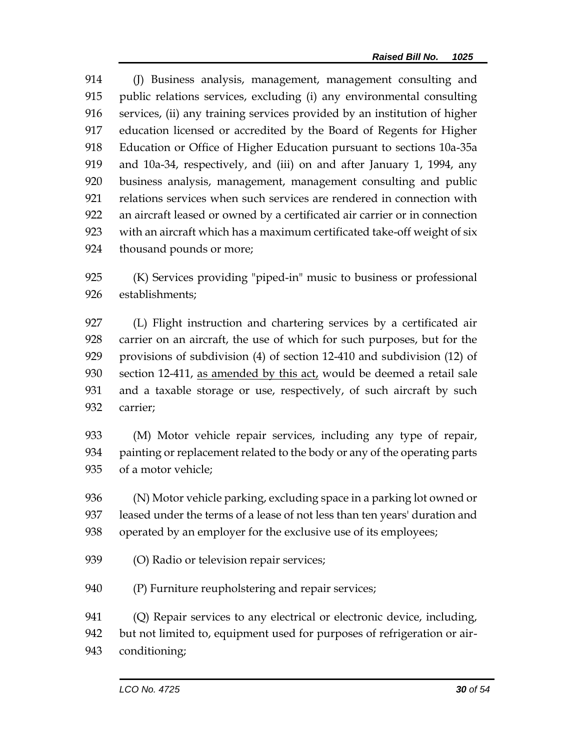(J) Business analysis, management, management consulting and public relations services, excluding (i) any environmental consulting services, (ii) any training services provided by an institution of higher education licensed or accredited by the Board of Regents for Higher Education or Office of Higher Education pursuant to sections 10a-35a and 10a-34, respectively, and (iii) on and after January 1, 1994, any business analysis, management, management consulting and public relations services when such services are rendered in connection with an aircraft leased or owned by a certificated air carrier or in connection with an aircraft which has a maximum certificated take-off weight of six thousand pounds or more;

 (K) Services providing "piped-in" music to business or professional establishments;

 (L) Flight instruction and chartering services by a certificated air carrier on an aircraft, the use of which for such purposes, but for the provisions of subdivision (4) of section 12-410 and subdivision (12) of section 12-411, as amended by this act, would be deemed a retail sale and a taxable storage or use, respectively, of such aircraft by such carrier;

 (M) Motor vehicle repair services, including any type of repair, painting or replacement related to the body or any of the operating parts of a motor vehicle;

 (N) Motor vehicle parking, excluding space in a parking lot owned or leased under the terms of a lease of not less than ten years' duration and operated by an employer for the exclusive use of its employees;

- (O) Radio or television repair services;
- (P) Furniture reupholstering and repair services;

(Q) Repair services to any electrical or electronic device, including,

but not limited to, equipment used for purposes of refrigeration or air-

conditioning;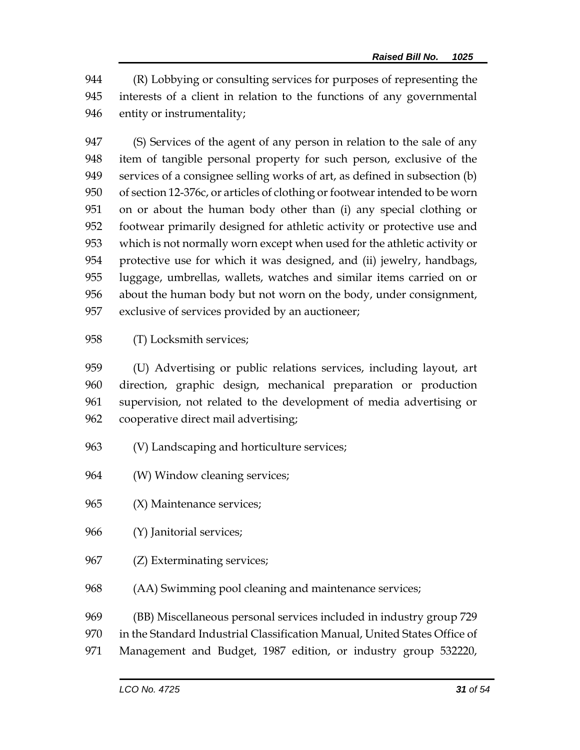(R) Lobbying or consulting services for purposes of representing the interests of a client in relation to the functions of any governmental entity or instrumentality;

 (S) Services of the agent of any person in relation to the sale of any item of tangible personal property for such person, exclusive of the services of a consignee selling works of art, as defined in subsection (b) of section 12-376c, or articles of clothing or footwear intended to be worn on or about the human body other than (i) any special clothing or footwear primarily designed for athletic activity or protective use and which is not normally worn except when used for the athletic activity or protective use for which it was designed, and (ii) jewelry, handbags, luggage, umbrellas, wallets, watches and similar items carried on or about the human body but not worn on the body, under consignment, exclusive of services provided by an auctioneer;

(T) Locksmith services;

 (U) Advertising or public relations services, including layout, art direction, graphic design, mechanical preparation or production supervision, not related to the development of media advertising or cooperative direct mail advertising;

- (V) Landscaping and horticulture services;
- (W) Window cleaning services;
- (X) Maintenance services;
- (Y) Janitorial services;
- (Z) Exterminating services;
- (AA) Swimming pool cleaning and maintenance services;
- (BB) Miscellaneous personal services included in industry group 729
- in the Standard Industrial Classification Manual, United States Office of
- Management and Budget, 1987 edition, or industry group 532220,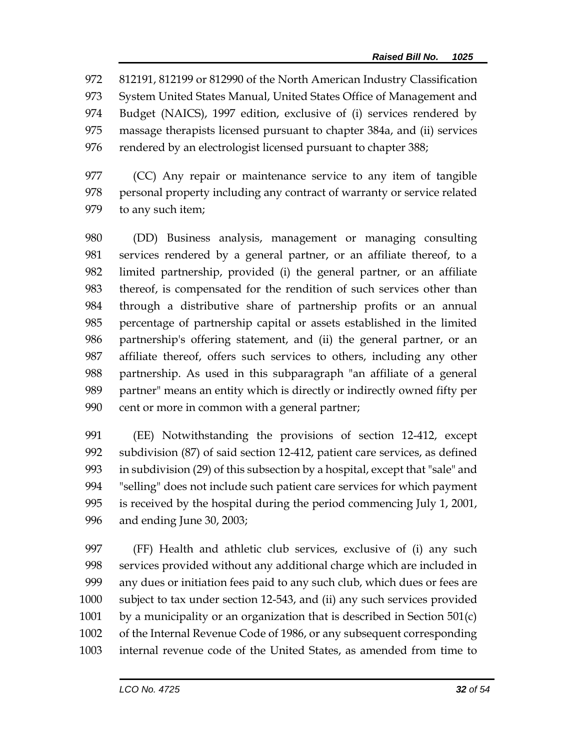812191, 812199 or 812990 of the North American Industry Classification System United States Manual, United States Office of Management and Budget (NAICS), 1997 edition, exclusive of (i) services rendered by massage therapists licensed pursuant to chapter 384a, and (ii) services 976 rendered by an electrologist licensed pursuant to chapter 388;

 (CC) Any repair or maintenance service to any item of tangible 978 personal property including any contract of warranty or service related to any such item;

 (DD) Business analysis, management or managing consulting services rendered by a general partner, or an affiliate thereof, to a limited partnership, provided (i) the general partner, or an affiliate thereof, is compensated for the rendition of such services other than through a distributive share of partnership profits or an annual percentage of partnership capital or assets established in the limited partnership's offering statement, and (ii) the general partner, or an affiliate thereof, offers such services to others, including any other partnership. As used in this subparagraph "an affiliate of a general partner" means an entity which is directly or indirectly owned fifty per cent or more in common with a general partner;

 (EE) Notwithstanding the provisions of section 12-412, except subdivision (87) of said section 12-412, patient care services, as defined in subdivision (29) of this subsection by a hospital, except that "sale" and "selling" does not include such patient care services for which payment is received by the hospital during the period commencing July 1, 2001, and ending June 30, 2003;

 (FF) Health and athletic club services, exclusive of (i) any such services provided without any additional charge which are included in any dues or initiation fees paid to any such club, which dues or fees are subject to tax under section 12-543, and (ii) any such services provided 1001 by a municipality or an organization that is described in Section  $501(c)$  of the Internal Revenue Code of 1986, or any subsequent corresponding internal revenue code of the United States, as amended from time to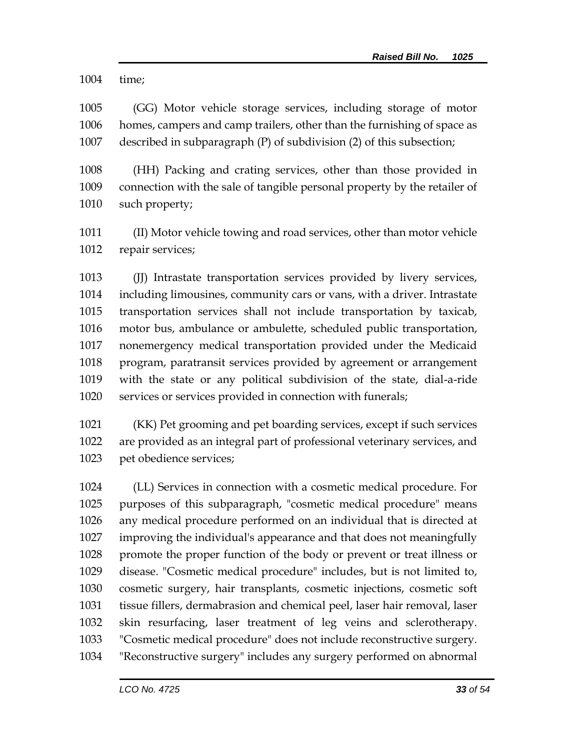time;

 (GG) Motor vehicle storage services, including storage of motor homes, campers and camp trailers, other than the furnishing of space as described in subparagraph (P) of subdivision (2) of this subsection;

 (HH) Packing and crating services, other than those provided in connection with the sale of tangible personal property by the retailer of such property;

 (II) Motor vehicle towing and road services, other than motor vehicle repair services;

 (JJ) Intrastate transportation services provided by livery services, including limousines, community cars or vans, with a driver. Intrastate transportation services shall not include transportation by taxicab, motor bus, ambulance or ambulette, scheduled public transportation, nonemergency medical transportation provided under the Medicaid program, paratransit services provided by agreement or arrangement with the state or any political subdivision of the state, dial-a-ride services or services provided in connection with funerals;

 (KK) Pet grooming and pet boarding services, except if such services are provided as an integral part of professional veterinary services, and pet obedience services;

 (LL) Services in connection with a cosmetic medical procedure. For purposes of this subparagraph, "cosmetic medical procedure" means any medical procedure performed on an individual that is directed at improving the individual's appearance and that does not meaningfully promote the proper function of the body or prevent or treat illness or disease. "Cosmetic medical procedure" includes, but is not limited to, cosmetic surgery, hair transplants, cosmetic injections, cosmetic soft tissue fillers, dermabrasion and chemical peel, laser hair removal, laser skin resurfacing, laser treatment of leg veins and sclerotherapy. "Cosmetic medical procedure" does not include reconstructive surgery. "Reconstructive surgery" includes any surgery performed on abnormal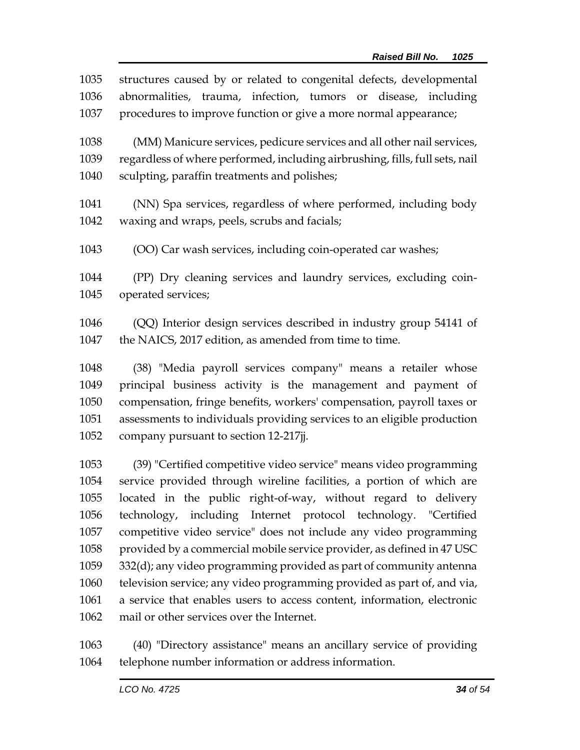structures caused by or related to congenital defects, developmental abnormalities, trauma, infection, tumors or disease, including procedures to improve function or give a more normal appearance; (MM) Manicure services, pedicure services and all other nail services, regardless of where performed, including airbrushing, fills, full sets, nail sculpting, paraffin treatments and polishes; (NN) Spa services, regardless of where performed, including body waxing and wraps, peels, scrubs and facials; (OO) Car wash services, including coin-operated car washes; (PP) Dry cleaning services and laundry services, excluding coin- operated services; (QQ) Interior design services described in industry group 54141 of 1047 the NAICS, 2017 edition, as amended from time to time. (38) "Media payroll services company" means a retailer whose principal business activity is the management and payment of compensation, fringe benefits, workers' compensation, payroll taxes or assessments to individuals providing services to an eligible production company pursuant to section 12-217jj. (39) "Certified competitive video service" means video programming

 service provided through wireline facilities, a portion of which are located in the public right-of-way, without regard to delivery technology, including Internet protocol technology. "Certified competitive video service" does not include any video programming provided by a commercial mobile service provider, as defined in 47 USC 332(d); any video programming provided as part of community antenna television service; any video programming provided as part of, and via, a service that enables users to access content, information, electronic mail or other services over the Internet.

 (40) "Directory assistance" means an ancillary service of providing telephone number information or address information.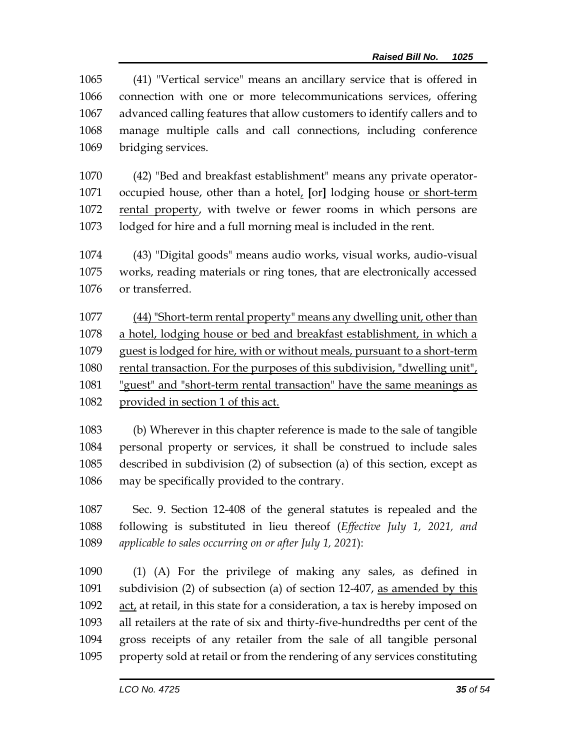(41) "Vertical service" means an ancillary service that is offered in connection with one or more telecommunications services, offering advanced calling features that allow customers to identify callers and to manage multiple calls and call connections, including conference bridging services.

- (42) "Bed and breakfast establishment" means any private operator- occupied house, other than a hotel, **[**or**]** lodging house or short-term 1072 rental property, with twelve or fewer rooms in which persons are lodged for hire and a full morning meal is included in the rent.
- (43) "Digital goods" means audio works, visual works, audio-visual works, reading materials or ring tones, that are electronically accessed or transferred.

 (44) "Short-term rental property" means any dwelling unit, other than a hotel, lodging house or bed and breakfast establishment, in which a guest is lodged for hire, with or without meals, pursuant to a short-term 1080 rental transaction. For the purposes of this subdivision, "dwelling unit", "guest" and "short-term rental transaction" have the same meanings as provided in section 1 of this act.

 (b) Wherever in this chapter reference is made to the sale of tangible personal property or services, it shall be construed to include sales described in subdivision (2) of subsection (a) of this section, except as may be specifically provided to the contrary.

 Sec. 9. Section 12-408 of the general statutes is repealed and the following is substituted in lieu thereof (*Effective July 1, 2021, and applicable to sales occurring on or after July 1, 2021*):

 (1) (A) For the privilege of making any sales, as defined in subdivision (2) of subsection (a) of section 12-407, as amended by this act, at retail, in this state for a consideration, a tax is hereby imposed on all retailers at the rate of six and thirty-five-hundredths per cent of the gross receipts of any retailer from the sale of all tangible personal property sold at retail or from the rendering of any services constituting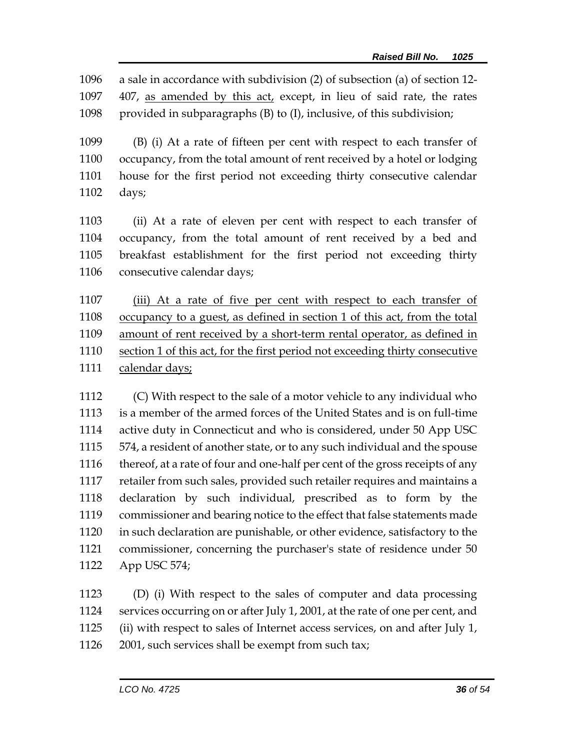a sale in accordance with subdivision (2) of subsection (a) of section 12- 407, as amended by this act, except, in lieu of said rate, the rates provided in subparagraphs (B) to (I), inclusive, of this subdivision;

 (B) (i) At a rate of fifteen per cent with respect to each transfer of occupancy, from the total amount of rent received by a hotel or lodging house for the first period not exceeding thirty consecutive calendar days;

 (ii) At a rate of eleven per cent with respect to each transfer of occupancy, from the total amount of rent received by a bed and breakfast establishment for the first period not exceeding thirty 1106 consecutive calendar days;

1107 (iii) At a rate of five per cent with respect to each transfer of occupancy to a guest, as defined in section 1 of this act, from the total amount of rent received by a short-term rental operator, as defined in section 1 of this act, for the first period not exceeding thirty consecutive 1111 calendar days;

 (C) With respect to the sale of a motor vehicle to any individual who is a member of the armed forces of the United States and is on full-time active duty in Connecticut and who is considered, under 50 App USC 574, a resident of another state, or to any such individual and the spouse 1116 thereof, at a rate of four and one-half per cent of the gross receipts of any retailer from such sales, provided such retailer requires and maintains a declaration by such individual, prescribed as to form by the commissioner and bearing notice to the effect that false statements made in such declaration are punishable, or other evidence, satisfactory to the commissioner, concerning the purchaser's state of residence under 50 App USC 574;

 (D) (i) With respect to the sales of computer and data processing services occurring on or after July 1, 2001, at the rate of one per cent, and (ii) with respect to sales of Internet access services, on and after July 1, 2001, such services shall be exempt from such tax;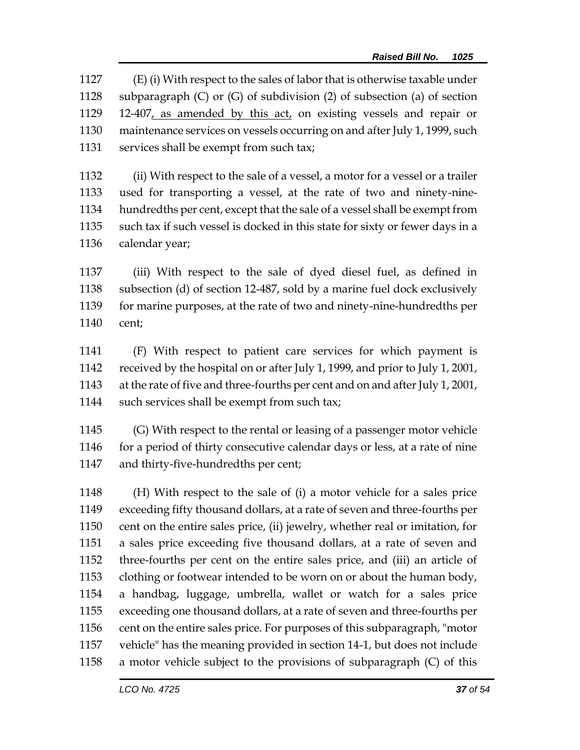(E) (i) With respect to the sales of labor that is otherwise taxable under subparagraph (C) or (G) of subdivision (2) of subsection (a) of section 12-407, as amended by this act, on existing vessels and repair or maintenance services on vessels occurring on and after July 1, 1999, such 1131 services shall be exempt from such tax;

 (ii) With respect to the sale of a vessel, a motor for a vessel or a trailer used for transporting a vessel, at the rate of two and ninety-nine- hundredths per cent, except that the sale of a vessel shall be exempt from such tax if such vessel is docked in this state for sixty or fewer days in a calendar year;

 (iii) With respect to the sale of dyed diesel fuel, as defined in subsection (d) of section 12-487, sold by a marine fuel dock exclusively for marine purposes, at the rate of two and ninety-nine-hundredths per cent;

 (F) With respect to patient care services for which payment is received by the hospital on or after July 1, 1999, and prior to July 1, 2001, at the rate of five and three-fourths per cent and on and after July 1, 2001, 1144 such services shall be exempt from such tax;

 (G) With respect to the rental or leasing of a passenger motor vehicle 1146 for a period of thirty consecutive calendar days or less, at a rate of nine and thirty-five-hundredths per cent;

 (H) With respect to the sale of (i) a motor vehicle for a sales price exceeding fifty thousand dollars, at a rate of seven and three-fourths per cent on the entire sales price, (ii) jewelry, whether real or imitation, for a sales price exceeding five thousand dollars, at a rate of seven and three-fourths per cent on the entire sales price, and (iii) an article of clothing or footwear intended to be worn on or about the human body, a handbag, luggage, umbrella, wallet or watch for a sales price exceeding one thousand dollars, at a rate of seven and three-fourths per cent on the entire sales price. For purposes of this subparagraph, "motor vehicle" has the meaning provided in section 14-1, but does not include a motor vehicle subject to the provisions of subparagraph (C) of this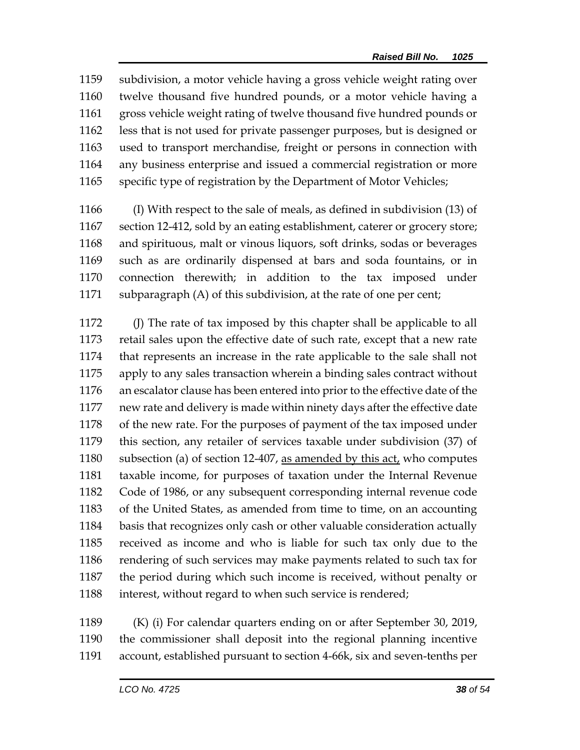subdivision, a motor vehicle having a gross vehicle weight rating over twelve thousand five hundred pounds, or a motor vehicle having a gross vehicle weight rating of twelve thousand five hundred pounds or less that is not used for private passenger purposes, but is designed or used to transport merchandise, freight or persons in connection with any business enterprise and issued a commercial registration or more specific type of registration by the Department of Motor Vehicles;

 (I) With respect to the sale of meals, as defined in subdivision (13) of section 12-412, sold by an eating establishment, caterer or grocery store; and spirituous, malt or vinous liquors, soft drinks, sodas or beverages such as are ordinarily dispensed at bars and soda fountains, or in connection therewith; in addition to the tax imposed under subparagraph (A) of this subdivision, at the rate of one per cent;

 (J) The rate of tax imposed by this chapter shall be applicable to all retail sales upon the effective date of such rate, except that a new rate that represents an increase in the rate applicable to the sale shall not apply to any sales transaction wherein a binding sales contract without an escalator clause has been entered into prior to the effective date of the new rate and delivery is made within ninety days after the effective date of the new rate. For the purposes of payment of the tax imposed under this section, any retailer of services taxable under subdivision (37) of 1180 subsection (a) of section 12-407, as amended by this act, who computes taxable income, for purposes of taxation under the Internal Revenue Code of 1986, or any subsequent corresponding internal revenue code of the United States, as amended from time to time, on an accounting basis that recognizes only cash or other valuable consideration actually received as income and who is liable for such tax only due to the 1186 rendering of such services may make payments related to such tax for the period during which such income is received, without penalty or 1188 interest, without regard to when such service is rendered;

 (K) (i) For calendar quarters ending on or after September 30, 2019, the commissioner shall deposit into the regional planning incentive account, established pursuant to section 4-66k, six and seven-tenths per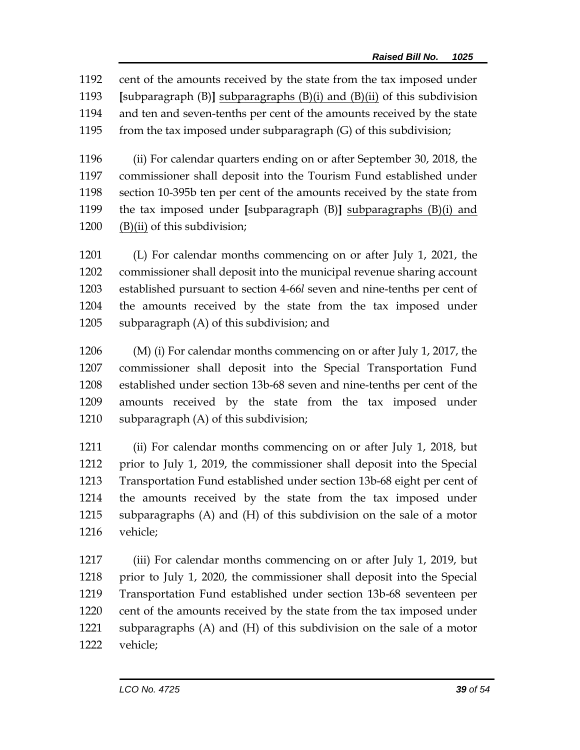cent of the amounts received by the state from the tax imposed under **[**subparagraph (B)**]** subparagraphs (B)(i) and (B)(ii) of this subdivision and ten and seven-tenths per cent of the amounts received by the state from the tax imposed under subparagraph (G) of this subdivision;

 (ii) For calendar quarters ending on or after September 30, 2018, the commissioner shall deposit into the Tourism Fund established under section 10-395b ten per cent of the amounts received by the state from the tax imposed under **[**subparagraph (B)**]** subparagraphs (B)(i) and (B)(ii) of this subdivision;

 (L) For calendar months commencing on or after July 1, 2021, the commissioner shall deposit into the municipal revenue sharing account established pursuant to section 4-66*l* seven and nine-tenths per cent of the amounts received by the state from the tax imposed under subparagraph (A) of this subdivision; and

 (M) (i) For calendar months commencing on or after July 1, 2017, the commissioner shall deposit into the Special Transportation Fund established under section 13b-68 seven and nine-tenths per cent of the amounts received by the state from the tax imposed under subparagraph (A) of this subdivision;

 (ii) For calendar months commencing on or after July 1, 2018, but prior to July 1, 2019, the commissioner shall deposit into the Special Transportation Fund established under section 13b-68 eight per cent of the amounts received by the state from the tax imposed under subparagraphs (A) and (H) of this subdivision on the sale of a motor vehicle;

 (iii) For calendar months commencing on or after July 1, 2019, but prior to July 1, 2020, the commissioner shall deposit into the Special Transportation Fund established under section 13b-68 seventeen per cent of the amounts received by the state from the tax imposed under subparagraphs (A) and (H) of this subdivision on the sale of a motor vehicle;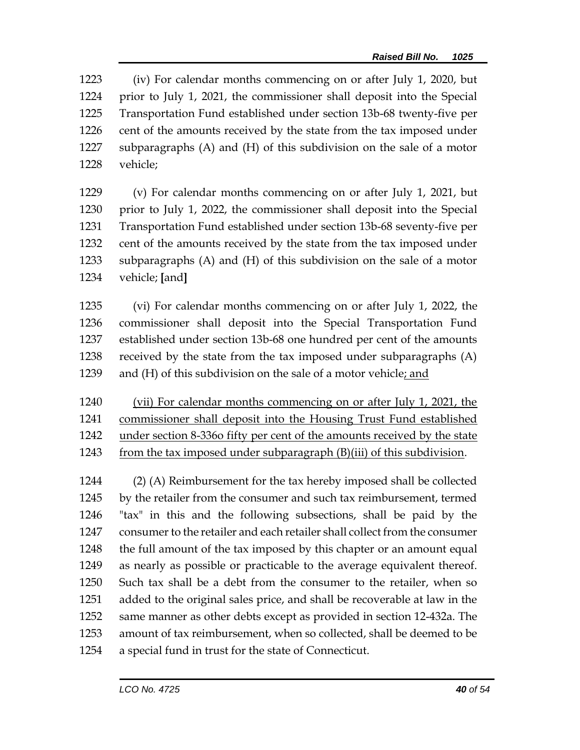(iv) For calendar months commencing on or after July 1, 2020, but prior to July 1, 2021, the commissioner shall deposit into the Special Transportation Fund established under section 13b-68 twenty-five per 1226 cent of the amounts received by the state from the tax imposed under subparagraphs (A) and (H) of this subdivision on the sale of a motor vehicle;

 (v) For calendar months commencing on or after July 1, 2021, but prior to July 1, 2022, the commissioner shall deposit into the Special Transportation Fund established under section 13b-68 seventy-five per cent of the amounts received by the state from the tax imposed under subparagraphs (A) and (H) of this subdivision on the sale of a motor vehicle; **[**and**]**

 (vi) For calendar months commencing on or after July 1, 2022, the commissioner shall deposit into the Special Transportation Fund established under section 13b-68 one hundred per cent of the amounts received by the state from the tax imposed under subparagraphs (A) 1239 and (H) of this subdivision on the sale of a motor vehicle; and

 (vii) For calendar months commencing on or after July 1, 2021, the commissioner shall deposit into the Housing Trust Fund established under section 8-336o fifty per cent of the amounts received by the state 1243 from the tax imposed under subparagraph  $(B)$ (iii) of this subdivision.

 (2) (A) Reimbursement for the tax hereby imposed shall be collected by the retailer from the consumer and such tax reimbursement, termed "tax" in this and the following subsections, shall be paid by the consumer to the retailer and each retailer shall collect from the consumer 1248 the full amount of the tax imposed by this chapter or an amount equal as nearly as possible or practicable to the average equivalent thereof. Such tax shall be a debt from the consumer to the retailer, when so added to the original sales price, and shall be recoverable at law in the same manner as other debts except as provided in section 12-432a. The amount of tax reimbursement, when so collected, shall be deemed to be a special fund in trust for the state of Connecticut.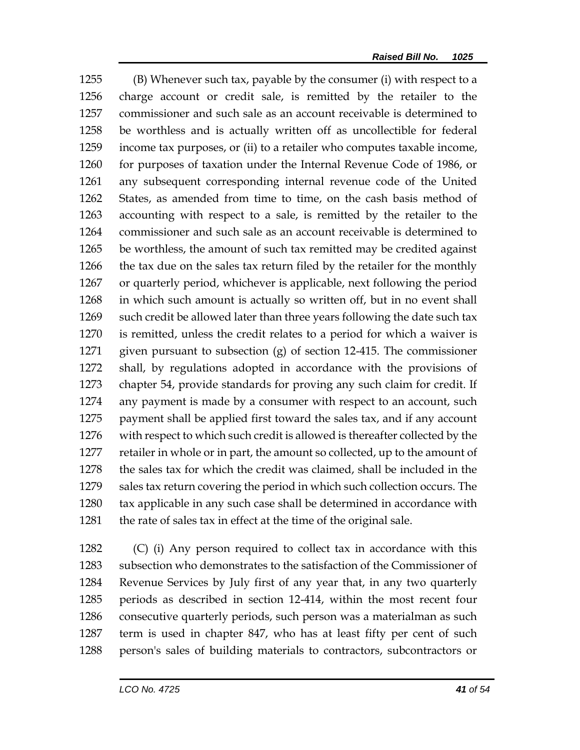(B) Whenever such tax, payable by the consumer (i) with respect to a charge account or credit sale, is remitted by the retailer to the commissioner and such sale as an account receivable is determined to be worthless and is actually written off as uncollectible for federal income tax purposes, or (ii) to a retailer who computes taxable income, for purposes of taxation under the Internal Revenue Code of 1986, or any subsequent corresponding internal revenue code of the United States, as amended from time to time, on the cash basis method of accounting with respect to a sale, is remitted by the retailer to the commissioner and such sale as an account receivable is determined to be worthless, the amount of such tax remitted may be credited against the tax due on the sales tax return filed by the retailer for the monthly or quarterly period, whichever is applicable, next following the period in which such amount is actually so written off, but in no event shall such credit be allowed later than three years following the date such tax is remitted, unless the credit relates to a period for which a waiver is given pursuant to subsection (g) of section 12-415. The commissioner shall, by regulations adopted in accordance with the provisions of chapter 54, provide standards for proving any such claim for credit. If any payment is made by a consumer with respect to an account, such payment shall be applied first toward the sales tax, and if any account with respect to which such credit is allowed is thereafter collected by the retailer in whole or in part, the amount so collected, up to the amount of the sales tax for which the credit was claimed, shall be included in the sales tax return covering the period in which such collection occurs. The tax applicable in any such case shall be determined in accordance with 1281 the rate of sales tax in effect at the time of the original sale.

 (C) (i) Any person required to collect tax in accordance with this subsection who demonstrates to the satisfaction of the Commissioner of Revenue Services by July first of any year that, in any two quarterly periods as described in section 12-414, within the most recent four consecutive quarterly periods, such person was a materialman as such term is used in chapter 847, who has at least fifty per cent of such person's sales of building materials to contractors, subcontractors or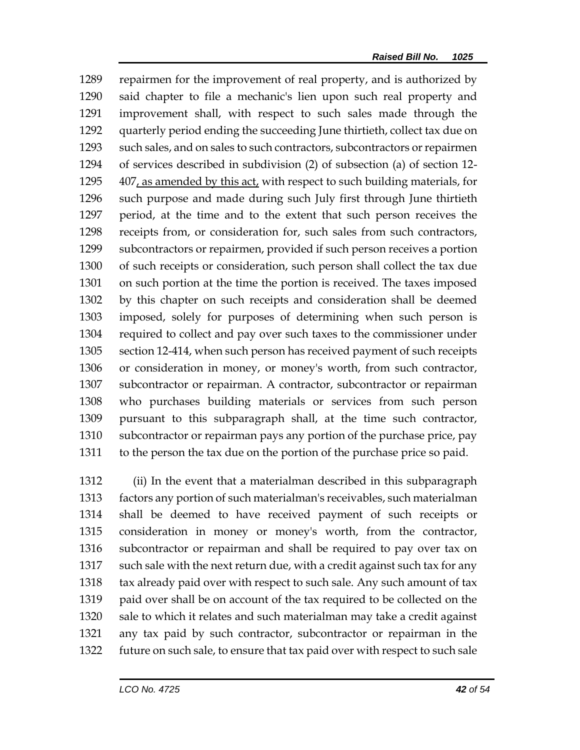repairmen for the improvement of real property, and is authorized by said chapter to file a mechanic's lien upon such real property and improvement shall, with respect to such sales made through the quarterly period ending the succeeding June thirtieth, collect tax due on such sales, and on sales to such contractors, subcontractors or repairmen of services described in subdivision (2) of subsection (a) of section 12- 1295 407, as amended by this act, with respect to such building materials, for such purpose and made during such July first through June thirtieth period, at the time and to the extent that such person receives the receipts from, or consideration for, such sales from such contractors, subcontractors or repairmen, provided if such person receives a portion of such receipts or consideration, such person shall collect the tax due on such portion at the time the portion is received. The taxes imposed by this chapter on such receipts and consideration shall be deemed imposed, solely for purposes of determining when such person is required to collect and pay over such taxes to the commissioner under section 12-414, when such person has received payment of such receipts or consideration in money, or money's worth, from such contractor, subcontractor or repairman. A contractor, subcontractor or repairman who purchases building materials or services from such person pursuant to this subparagraph shall, at the time such contractor, subcontractor or repairman pays any portion of the purchase price, pay to the person the tax due on the portion of the purchase price so paid.

 (ii) In the event that a materialman described in this subparagraph factors any portion of such materialman's receivables, such materialman shall be deemed to have received payment of such receipts or consideration in money or money's worth, from the contractor, subcontractor or repairman and shall be required to pay over tax on 1317 such sale with the next return due, with a credit against such tax for any 1318 tax already paid over with respect to such sale. Any such amount of tax paid over shall be on account of the tax required to be collected on the sale to which it relates and such materialman may take a credit against any tax paid by such contractor, subcontractor or repairman in the future on such sale, to ensure that tax paid over with respect to such sale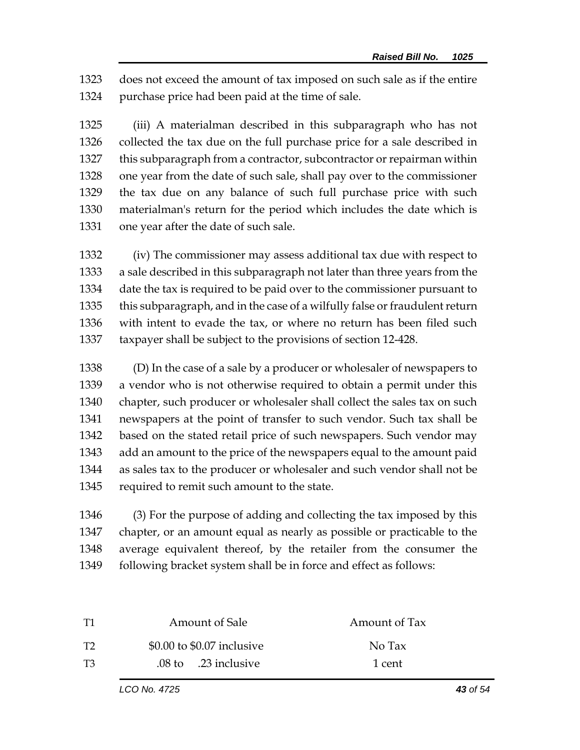does not exceed the amount of tax imposed on such sale as if the entire purchase price had been paid at the time of sale.

 (iii) A materialman described in this subparagraph who has not collected the tax due on the full purchase price for a sale described in this subparagraph from a contractor, subcontractor or repairman within one year from the date of such sale, shall pay over to the commissioner the tax due on any balance of such full purchase price with such materialman's return for the period which includes the date which is one year after the date of such sale.

 (iv) The commissioner may assess additional tax due with respect to a sale described in this subparagraph not later than three years from the date the tax is required to be paid over to the commissioner pursuant to this subparagraph, and in the case of a wilfully false or fraudulent return with intent to evade the tax, or where no return has been filed such taxpayer shall be subject to the provisions of section 12-428.

 (D) In the case of a sale by a producer or wholesaler of newspapers to a vendor who is not otherwise required to obtain a permit under this chapter, such producer or wholesaler shall collect the sales tax on such newspapers at the point of transfer to such vendor. Such tax shall be based on the stated retail price of such newspapers. Such vendor may add an amount to the price of the newspapers equal to the amount paid as sales tax to the producer or wholesaler and such vendor shall not be required to remit such amount to the state.

 (3) For the purpose of adding and collecting the tax imposed by this chapter, or an amount equal as nearly as possible or practicable to the average equivalent thereof, by the retailer from the consumer the 1349 following bracket system shall be in force and effect as follows:

|              | Amount of Sale                          | Amount of Tax |
|--------------|-----------------------------------------|---------------|
| $\mathbf{T}$ | \$0.00 to \$0.07 inclusive              | No Tax        |
| T3           | $.08 \text{ to } .23 \text{ inclusive}$ | 1 cent        |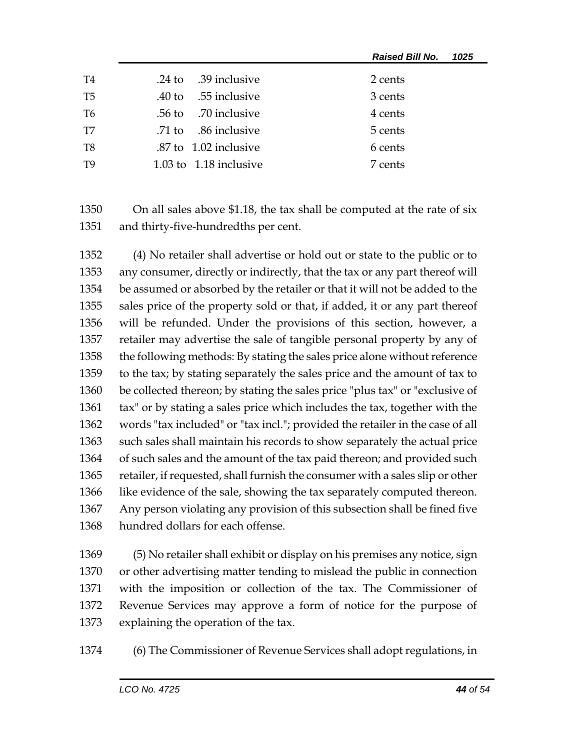|                |                          | <b>Raised Bill No.</b><br>1025 |
|----------------|--------------------------|--------------------------------|
| T4             | .24 to .39 inclusive     | 2 cents                        |
| T <sub>5</sub> | .40 to .55 inclusive     | 3 cents                        |
| T <sub>6</sub> | .56 to .70 inclusive     | 4 cents                        |
| T7             | .71 to .86 inclusive     | 5 cents                        |
| T8             | .87 to 1.02 inclusive    | 6 cents                        |
| T <sub>9</sub> | 1.03 to $1.18$ inclusive | 7 cents                        |

 On all sales above \$1.18, the tax shall be computed at the rate of six and thirty-five-hundredths per cent.

 (4) No retailer shall advertise or hold out or state to the public or to any consumer, directly or indirectly, that the tax or any part thereof will be assumed or absorbed by the retailer or that it will not be added to the sales price of the property sold or that, if added, it or any part thereof will be refunded. Under the provisions of this section, however, a retailer may advertise the sale of tangible personal property by any of the following methods: By stating the sales price alone without reference to the tax; by stating separately the sales price and the amount of tax to be collected thereon; by stating the sales price "plus tax" or "exclusive of tax" or by stating a sales price which includes the tax, together with the words "tax included" or "tax incl."; provided the retailer in the case of all such sales shall maintain his records to show separately the actual price of such sales and the amount of the tax paid thereon; and provided such retailer, if requested, shall furnish the consumer with a sales slip or other like evidence of the sale, showing the tax separately computed thereon. Any person violating any provision of this subsection shall be fined five hundred dollars for each offense.

 (5) No retailer shall exhibit or display on his premises any notice, sign or other advertising matter tending to mislead the public in connection with the imposition or collection of the tax. The Commissioner of Revenue Services may approve a form of notice for the purpose of explaining the operation of the tax.

(6) The Commissioner of Revenue Services shall adopt regulations, in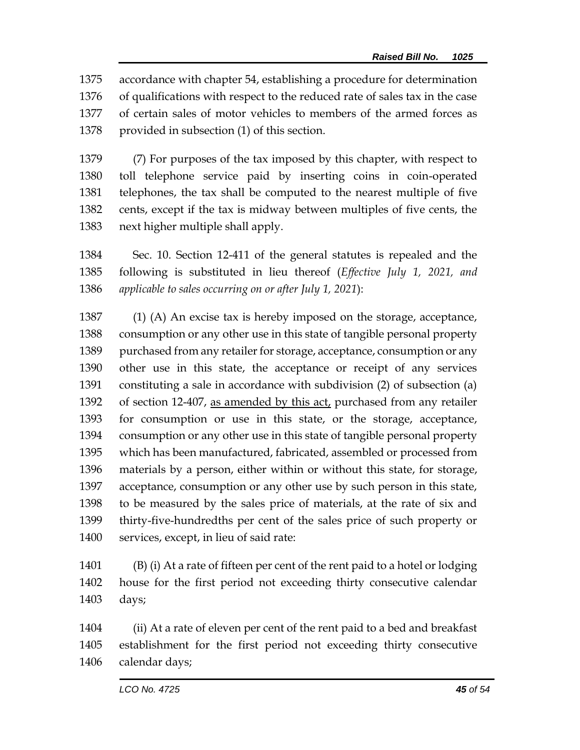accordance with chapter 54, establishing a procedure for determination of qualifications with respect to the reduced rate of sales tax in the case of certain sales of motor vehicles to members of the armed forces as provided in subsection (1) of this section.

 (7) For purposes of the tax imposed by this chapter, with respect to toll telephone service paid by inserting coins in coin-operated telephones, the tax shall be computed to the nearest multiple of five cents, except if the tax is midway between multiples of five cents, the next higher multiple shall apply.

 Sec. 10. Section 12-411 of the general statutes is repealed and the following is substituted in lieu thereof (*Effective July 1, 2021, and applicable to sales occurring on or after July 1, 2021*):

1387 (1) (A) An excise tax is hereby imposed on the storage, acceptance, consumption or any other use in this state of tangible personal property purchased from any retailer for storage, acceptance, consumption or any other use in this state, the acceptance or receipt of any services constituting a sale in accordance with subdivision (2) of subsection (a) 1392 of section 12-407, as amended by this act, purchased from any retailer for consumption or use in this state, or the storage, acceptance, consumption or any other use in this state of tangible personal property which has been manufactured, fabricated, assembled or processed from materials by a person, either within or without this state, for storage, acceptance, consumption or any other use by such person in this state, to be measured by the sales price of materials, at the rate of six and thirty-five-hundredths per cent of the sales price of such property or services, except, in lieu of said rate:

 (B) (i) At a rate of fifteen per cent of the rent paid to a hotel or lodging house for the first period not exceeding thirty consecutive calendar days;

 (ii) At a rate of eleven per cent of the rent paid to a bed and breakfast establishment for the first period not exceeding thirty consecutive calendar days;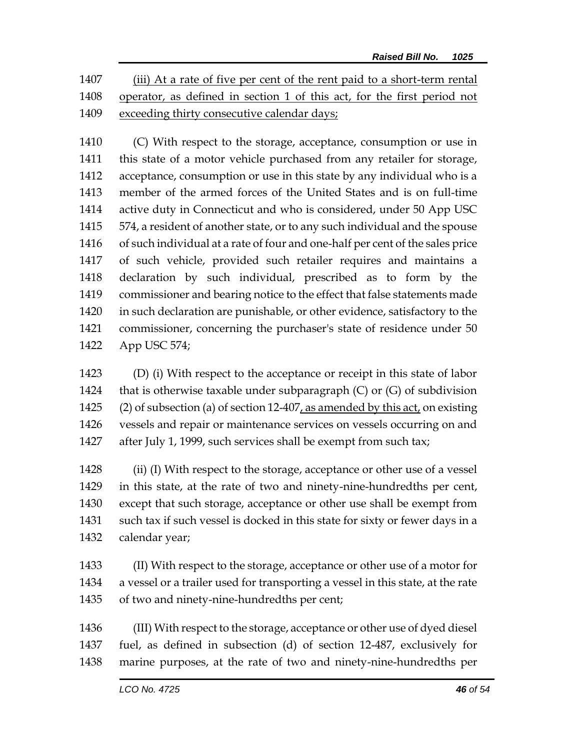(iii) At a rate of five per cent of the rent paid to a short-term rental operator, as defined in section 1 of this act, for the first period not exceeding thirty consecutive calendar days;

 (C) With respect to the storage, acceptance, consumption or use in this state of a motor vehicle purchased from any retailer for storage, acceptance, consumption or use in this state by any individual who is a member of the armed forces of the United States and is on full-time active duty in Connecticut and who is considered, under 50 App USC 574, a resident of another state, or to any such individual and the spouse of such individual at a rate of four and one-half per cent of the sales price of such vehicle, provided such retailer requires and maintains a declaration by such individual, prescribed as to form by the commissioner and bearing notice to the effect that false statements made in such declaration are punishable, or other evidence, satisfactory to the commissioner, concerning the purchaser's state of residence under 50 App USC 574;

 (D) (i) With respect to the acceptance or receipt in this state of labor 1424 that is otherwise taxable under subparagraph  $(C)$  or  $(G)$  of subdivision (2) of subsection (a) of section 12-407, as amended by this act, on existing vessels and repair or maintenance services on vessels occurring on and after July 1, 1999, such services shall be exempt from such tax;

1428 (ii) (I) With respect to the storage, acceptance or other use of a vessel in this state, at the rate of two and ninety-nine-hundredths per cent, except that such storage, acceptance or other use shall be exempt from such tax if such vessel is docked in this state for sixty or fewer days in a calendar year;

 (II) With respect to the storage, acceptance or other use of a motor for a vessel or a trailer used for transporting a vessel in this state, at the rate of two and ninety-nine-hundredths per cent;

 (III) With respect to the storage, acceptance or other use of dyed diesel fuel, as defined in subsection (d) of section 12-487, exclusively for marine purposes, at the rate of two and ninety-nine-hundredths per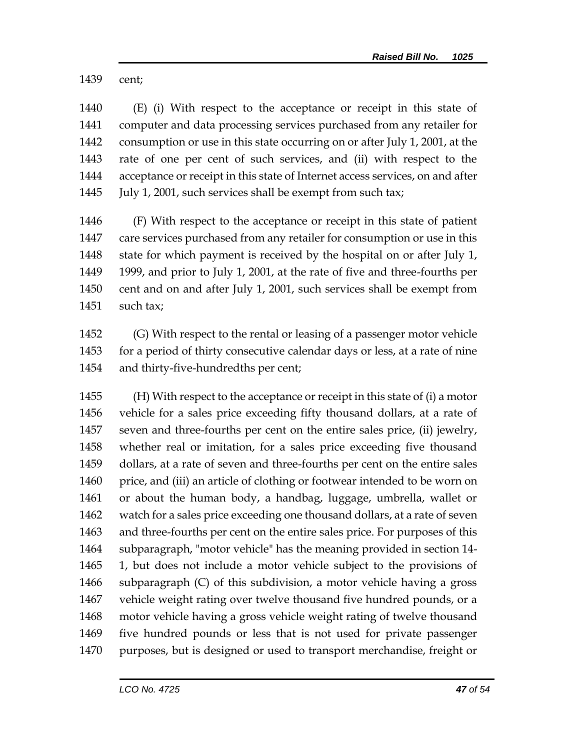cent;

 (E) (i) With respect to the acceptance or receipt in this state of computer and data processing services purchased from any retailer for consumption or use in this state occurring on or after July 1, 2001, at the rate of one per cent of such services, and (ii) with respect to the acceptance or receipt in this state of Internet access services, on and after July 1, 2001, such services shall be exempt from such tax;

 (F) With respect to the acceptance or receipt in this state of patient care services purchased from any retailer for consumption or use in this state for which payment is received by the hospital on or after July 1, 1999, and prior to July 1, 2001, at the rate of five and three-fourths per cent and on and after July 1, 2001, such services shall be exempt from such tax;

 (G) With respect to the rental or leasing of a passenger motor vehicle for a period of thirty consecutive calendar days or less, at a rate of nine and thirty-five-hundredths per cent;

 (H) With respect to the acceptance or receipt in this state of (i) a motor vehicle for a sales price exceeding fifty thousand dollars, at a rate of seven and three-fourths per cent on the entire sales price, (ii) jewelry, whether real or imitation, for a sales price exceeding five thousand dollars, at a rate of seven and three-fourths per cent on the entire sales price, and (iii) an article of clothing or footwear intended to be worn on or about the human body, a handbag, luggage, umbrella, wallet or watch for a sales price exceeding one thousand dollars, at a rate of seven and three-fourths per cent on the entire sales price. For purposes of this subparagraph, "motor vehicle" has the meaning provided in section 14- 1, but does not include a motor vehicle subject to the provisions of subparagraph (C) of this subdivision, a motor vehicle having a gross vehicle weight rating over twelve thousand five hundred pounds, or a motor vehicle having a gross vehicle weight rating of twelve thousand five hundred pounds or less that is not used for private passenger purposes, but is designed or used to transport merchandise, freight or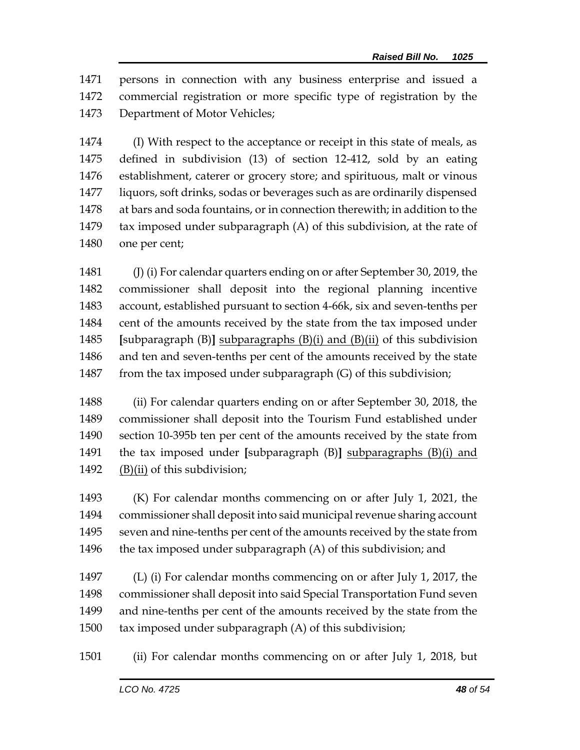persons in connection with any business enterprise and issued a commercial registration or more specific type of registration by the Department of Motor Vehicles;

 (I) With respect to the acceptance or receipt in this state of meals, as defined in subdivision (13) of section 12-412, sold by an eating establishment, caterer or grocery store; and spirituous, malt or vinous liquors, soft drinks, sodas or beverages such as are ordinarily dispensed at bars and soda fountains, or in connection therewith; in addition to the tax imposed under subparagraph (A) of this subdivision, at the rate of one per cent;

 (J) (i) For calendar quarters ending on or after September 30, 2019, the commissioner shall deposit into the regional planning incentive account, established pursuant to section 4-66k, six and seven-tenths per cent of the amounts received by the state from the tax imposed under **[**subparagraph (B)**]** subparagraphs (B)(i) and (B)(ii) of this subdivision and ten and seven-tenths per cent of the amounts received by the state 1487 from the tax imposed under subparagraph (G) of this subdivision;

 (ii) For calendar quarters ending on or after September 30, 2018, the commissioner shall deposit into the Tourism Fund established under section 10-395b ten per cent of the amounts received by the state from the tax imposed under **[**subparagraph (B)**]** subparagraphs (B)(i) and  $(B)(ii)$  of this subdivision;

 (K) For calendar months commencing on or after July 1, 2021, the commissioner shall deposit into said municipal revenue sharing account seven and nine-tenths per cent of the amounts received by the state from  $\blacksquare$  the tax imposed under subparagraph (A) of this subdivision; and

 (L) (i) For calendar months commencing on or after July 1, 2017, the commissioner shall deposit into said Special Transportation Fund seven and nine-tenths per cent of the amounts received by the state from the tax imposed under subparagraph (A) of this subdivision;

(ii) For calendar months commencing on or after July 1, 2018, but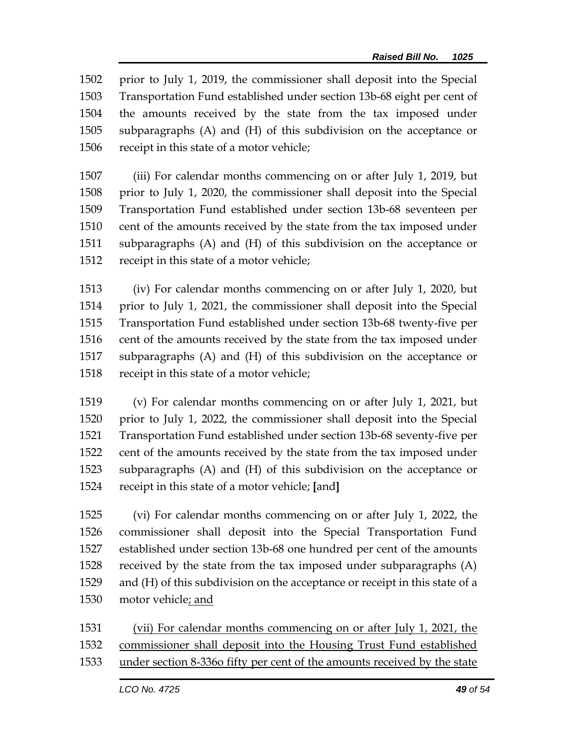prior to July 1, 2019, the commissioner shall deposit into the Special Transportation Fund established under section 13b-68 eight per cent of the amounts received by the state from the tax imposed under subparagraphs (A) and (H) of this subdivision on the acceptance or receipt in this state of a motor vehicle;

 (iii) For calendar months commencing on or after July 1, 2019, but prior to July 1, 2020, the commissioner shall deposit into the Special Transportation Fund established under section 13b-68 seventeen per cent of the amounts received by the state from the tax imposed under subparagraphs (A) and (H) of this subdivision on the acceptance or receipt in this state of a motor vehicle;

 (iv) For calendar months commencing on or after July 1, 2020, but prior to July 1, 2021, the commissioner shall deposit into the Special Transportation Fund established under section 13b-68 twenty-five per 1516 cent of the amounts received by the state from the tax imposed under subparagraphs (A) and (H) of this subdivision on the acceptance or receipt in this state of a motor vehicle;

 (v) For calendar months commencing on or after July 1, 2021, but prior to July 1, 2022, the commissioner shall deposit into the Special Transportation Fund established under section 13b-68 seventy-five per cent of the amounts received by the state from the tax imposed under subparagraphs (A) and (H) of this subdivision on the acceptance or receipt in this state of a motor vehicle; **[**and**]**

 (vi) For calendar months commencing on or after July 1, 2022, the commissioner shall deposit into the Special Transportation Fund established under section 13b-68 one hundred per cent of the amounts received by the state from the tax imposed under subparagraphs (A) and (H) of this subdivision on the acceptance or receipt in this state of a motor vehicle; and

 (vii) For calendar months commencing on or after July 1, 2021, the commissioner shall deposit into the Housing Trust Fund established

under section 8-336o fifty per cent of the amounts received by the state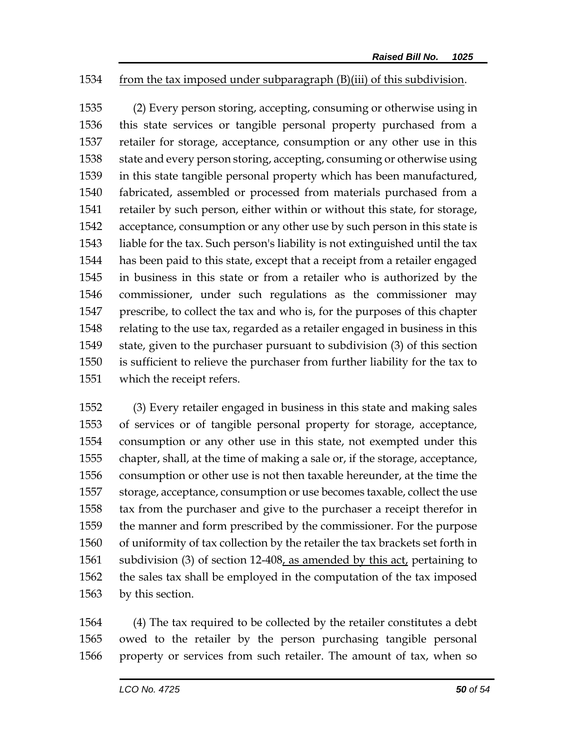## from the tax imposed under subparagraph (B)(iii) of this subdivision.

 (2) Every person storing, accepting, consuming or otherwise using in this state services or tangible personal property purchased from a retailer for storage, acceptance, consumption or any other use in this state and every person storing, accepting, consuming or otherwise using in this state tangible personal property which has been manufactured, fabricated, assembled or processed from materials purchased from a retailer by such person, either within or without this state, for storage, acceptance, consumption or any other use by such person in this state is liable for the tax. Such person's liability is not extinguished until the tax has been paid to this state, except that a receipt from a retailer engaged in business in this state or from a retailer who is authorized by the commissioner, under such regulations as the commissioner may prescribe, to collect the tax and who is, for the purposes of this chapter relating to the use tax, regarded as a retailer engaged in business in this state, given to the purchaser pursuant to subdivision (3) of this section is sufficient to relieve the purchaser from further liability for the tax to which the receipt refers.

 (3) Every retailer engaged in business in this state and making sales of services or of tangible personal property for storage, acceptance, consumption or any other use in this state, not exempted under this chapter, shall, at the time of making a sale or, if the storage, acceptance, consumption or other use is not then taxable hereunder, at the time the storage, acceptance, consumption or use becomes taxable, collect the use tax from the purchaser and give to the purchaser a receipt therefor in the manner and form prescribed by the commissioner. For the purpose of uniformity of tax collection by the retailer the tax brackets set forth in 1561 subdivision (3) of section 12-408, as amended by this act, pertaining to the sales tax shall be employed in the computation of the tax imposed by this section.

 (4) The tax required to be collected by the retailer constitutes a debt owed to the retailer by the person purchasing tangible personal property or services from such retailer. The amount of tax, when so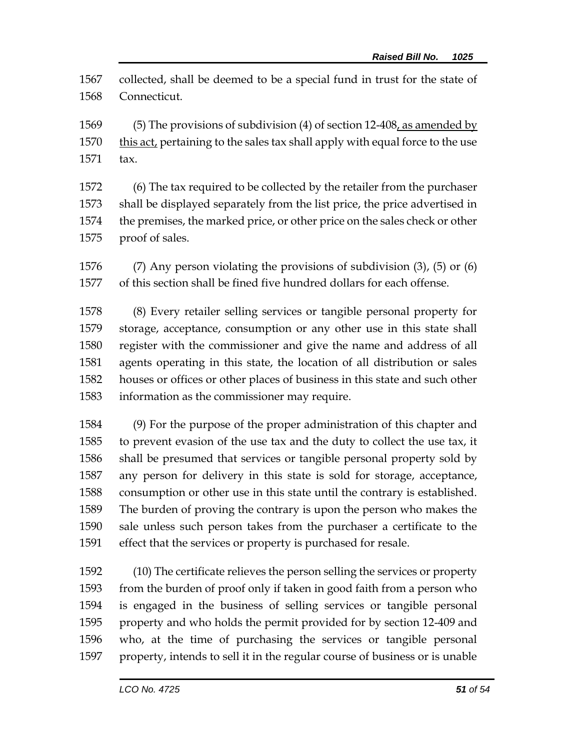collected, shall be deemed to be a special fund in trust for the state of Connecticut.

 (5) The provisions of subdivision (4) of section 12-408, as amended by this act, pertaining to the sales tax shall apply with equal force to the use tax.

 (6) The tax required to be collected by the retailer from the purchaser shall be displayed separately from the list price, the price advertised in the premises, the marked price, or other price on the sales check or other proof of sales.

 (7) Any person violating the provisions of subdivision (3), (5) or (6) of this section shall be fined five hundred dollars for each offense.

 (8) Every retailer selling services or tangible personal property for storage, acceptance, consumption or any other use in this state shall register with the commissioner and give the name and address of all agents operating in this state, the location of all distribution or sales houses or offices or other places of business in this state and such other information as the commissioner may require.

 (9) For the purpose of the proper administration of this chapter and to prevent evasion of the use tax and the duty to collect the use tax, it shall be presumed that services or tangible personal property sold by any person for delivery in this state is sold for storage, acceptance, consumption or other use in this state until the contrary is established. The burden of proving the contrary is upon the person who makes the sale unless such person takes from the purchaser a certificate to the effect that the services or property is purchased for resale.

 (10) The certificate relieves the person selling the services or property from the burden of proof only if taken in good faith from a person who is engaged in the business of selling services or tangible personal property and who holds the permit provided for by section 12-409 and who, at the time of purchasing the services or tangible personal property, intends to sell it in the regular course of business or is unable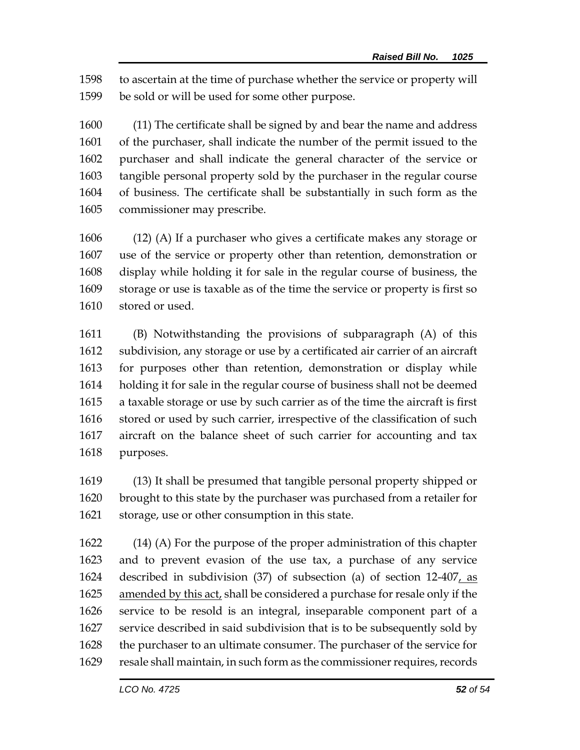to ascertain at the time of purchase whether the service or property will be sold or will be used for some other purpose.

 (11) The certificate shall be signed by and bear the name and address of the purchaser, shall indicate the number of the permit issued to the purchaser and shall indicate the general character of the service or tangible personal property sold by the purchaser in the regular course of business. The certificate shall be substantially in such form as the commissioner may prescribe.

 (12) (A) If a purchaser who gives a certificate makes any storage or use of the service or property other than retention, demonstration or display while holding it for sale in the regular course of business, the storage or use is taxable as of the time the service or property is first so stored or used.

 (B) Notwithstanding the provisions of subparagraph (A) of this subdivision, any storage or use by a certificated air carrier of an aircraft for purposes other than retention, demonstration or display while holding it for sale in the regular course of business shall not be deemed a taxable storage or use by such carrier as of the time the aircraft is first stored or used by such carrier, irrespective of the classification of such aircraft on the balance sheet of such carrier for accounting and tax purposes.

 (13) It shall be presumed that tangible personal property shipped or brought to this state by the purchaser was purchased from a retailer for storage, use or other consumption in this state.

 (14) (A) For the purpose of the proper administration of this chapter and to prevent evasion of the use tax, a purchase of any service described in subdivision (37) of subsection (a) of section 12-407, as amended by this act, shall be considered a purchase for resale only if the service to be resold is an integral, inseparable component part of a service described in said subdivision that is to be subsequently sold by the purchaser to an ultimate consumer. The purchaser of the service for resale shall maintain, in such form as the commissioner requires, records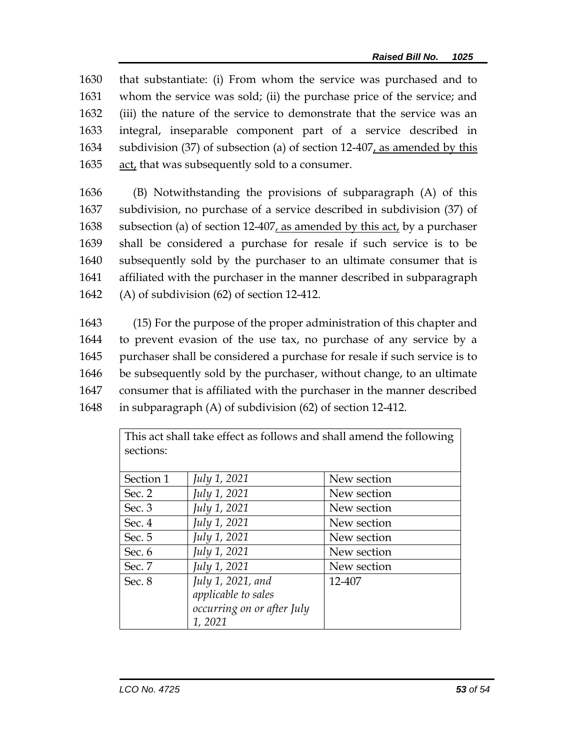that substantiate: (i) From whom the service was purchased and to whom the service was sold; (ii) the purchase price of the service; and (iii) the nature of the service to demonstrate that the service was an integral, inseparable component part of a service described in subdivision (37) of subsection (a) of section 12-407, as amended by this act, that was subsequently sold to a consumer.

 (B) Notwithstanding the provisions of subparagraph (A) of this subdivision, no purchase of a service described in subdivision (37) of subsection (a) of section 12-407, as amended by this act, by a purchaser shall be considered a purchase for resale if such service is to be subsequently sold by the purchaser to an ultimate consumer that is affiliated with the purchaser in the manner described in subparagraph (A) of subdivision (62) of section 12-412.

 (15) For the purpose of the proper administration of this chapter and to prevent evasion of the use tax, no purchase of any service by a purchaser shall be considered a purchase for resale if such service is to be subsequently sold by the purchaser, without change, to an ultimate consumer that is affiliated with the purchaser in the manner described in subparagraph (A) of subdivision (62) of section 12-412.

| This act shall take effect as follows and shall amend the following<br>sections: |                            |             |  |  |  |
|----------------------------------------------------------------------------------|----------------------------|-------------|--|--|--|
|                                                                                  |                            |             |  |  |  |
| Section 1                                                                        | July 1, 2021               | New section |  |  |  |
| Sec. $2$                                                                         | July 1, 2021               | New section |  |  |  |
| Sec. 3                                                                           | July 1, 2021               | New section |  |  |  |
| Sec. 4                                                                           | July 1, 2021               | New section |  |  |  |
| Sec. $5$                                                                         | July 1, 2021               | New section |  |  |  |
| Sec. 6                                                                           | July 1, 2021               | New section |  |  |  |
| Sec. 7                                                                           | July 1, 2021               | New section |  |  |  |
| Sec. 8                                                                           | July 1, 2021, and          | 12-407      |  |  |  |
|                                                                                  | applicable to sales        |             |  |  |  |
|                                                                                  | occurring on or after July |             |  |  |  |
|                                                                                  | 1,2021                     |             |  |  |  |